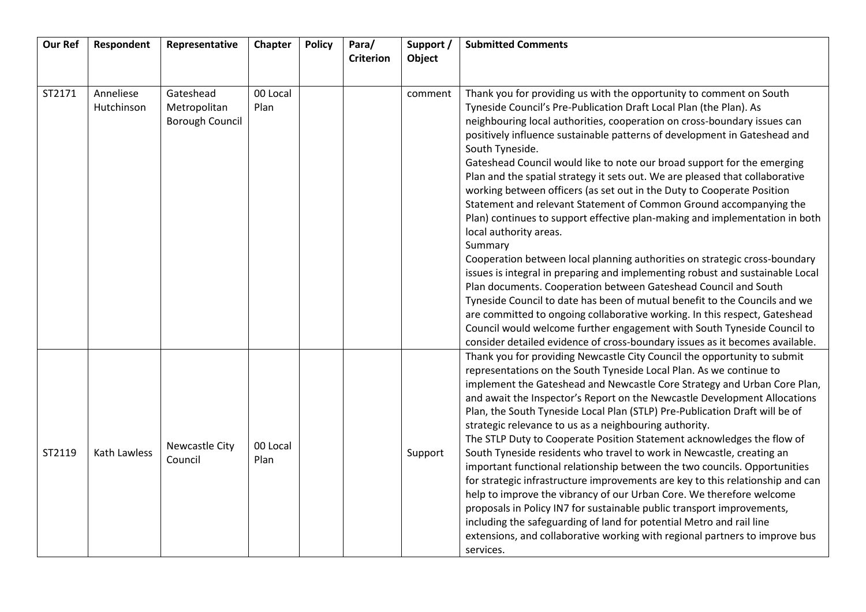| <b>Our Ref</b> | Respondent              | Representative                                      | Chapter          | <b>Policy</b> | Para/<br><b>Criterion</b> | Support /<br>Object | <b>Submitted Comments</b>                                                                                                                                                                                                                                                                                                                                                                                                                                                                                                                                                                                                                                                                                                                                                                                                                                                                                                                                                                                                                                                                                                                                                                                                                                                                                     |
|----------------|-------------------------|-----------------------------------------------------|------------------|---------------|---------------------------|---------------------|---------------------------------------------------------------------------------------------------------------------------------------------------------------------------------------------------------------------------------------------------------------------------------------------------------------------------------------------------------------------------------------------------------------------------------------------------------------------------------------------------------------------------------------------------------------------------------------------------------------------------------------------------------------------------------------------------------------------------------------------------------------------------------------------------------------------------------------------------------------------------------------------------------------------------------------------------------------------------------------------------------------------------------------------------------------------------------------------------------------------------------------------------------------------------------------------------------------------------------------------------------------------------------------------------------------|
|                |                         |                                                     |                  |               |                           |                     |                                                                                                                                                                                                                                                                                                                                                                                                                                                                                                                                                                                                                                                                                                                                                                                                                                                                                                                                                                                                                                                                                                                                                                                                                                                                                                               |
| ST2171         | Anneliese<br>Hutchinson | Gateshead<br>Metropolitan<br><b>Borough Council</b> | 00 Local<br>Plan |               |                           | comment             | Thank you for providing us with the opportunity to comment on South<br>Tyneside Council's Pre-Publication Draft Local Plan (the Plan). As<br>neighbouring local authorities, cooperation on cross-boundary issues can<br>positively influence sustainable patterns of development in Gateshead and<br>South Tyneside.<br>Gateshead Council would like to note our broad support for the emerging<br>Plan and the spatial strategy it sets out. We are pleased that collaborative<br>working between officers (as set out in the Duty to Cooperate Position<br>Statement and relevant Statement of Common Ground accompanying the<br>Plan) continues to support effective plan-making and implementation in both<br>local authority areas.<br>Summary<br>Cooperation between local planning authorities on strategic cross-boundary<br>issues is integral in preparing and implementing robust and sustainable Local<br>Plan documents. Cooperation between Gateshead Council and South<br>Tyneside Council to date has been of mutual benefit to the Councils and we<br>are committed to ongoing collaborative working. In this respect, Gateshead<br>Council would welcome further engagement with South Tyneside Council to<br>consider detailed evidence of cross-boundary issues as it becomes available. |
| ST2119         | <b>Kath Lawless</b>     | Newcastle City<br>Council                           | 00 Local<br>Plan |               |                           | Support             | Thank you for providing Newcastle City Council the opportunity to submit<br>representations on the South Tyneside Local Plan. As we continue to<br>implement the Gateshead and Newcastle Core Strategy and Urban Core Plan,<br>and await the Inspector's Report on the Newcastle Development Allocations<br>Plan, the South Tyneside Local Plan (STLP) Pre-Publication Draft will be of<br>strategic relevance to us as a neighbouring authority.<br>The STLP Duty to Cooperate Position Statement acknowledges the flow of<br>South Tyneside residents who travel to work in Newcastle, creating an<br>important functional relationship between the two councils. Opportunities<br>for strategic infrastructure improvements are key to this relationship and can<br>help to improve the vibrancy of our Urban Core. We therefore welcome<br>proposals in Policy IN7 for sustainable public transport improvements,<br>including the safeguarding of land for potential Metro and rail line<br>extensions, and collaborative working with regional partners to improve bus<br>services.                                                                                                                                                                                                                     |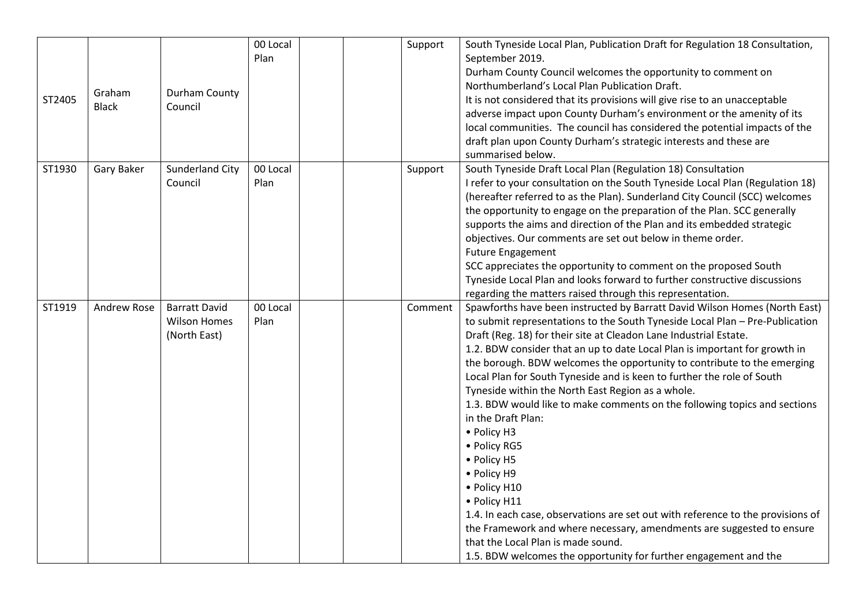| ST2405 | Graham<br><b>Black</b> | Durham County<br>Council                                    | 00 Local<br>Plan | Support | South Tyneside Local Plan, Publication Draft for Regulation 18 Consultation,<br>September 2019.<br>Durham County Council welcomes the opportunity to comment on<br>Northumberland's Local Plan Publication Draft.<br>It is not considered that its provisions will give rise to an unacceptable<br>adverse impact upon County Durham's environment or the amenity of its<br>local communities. The council has considered the potential impacts of the<br>draft plan upon County Durham's strategic interests and these are<br>summarised below.                                                                                                                                                                                                                                                                                                                                                                                                                                              |
|--------|------------------------|-------------------------------------------------------------|------------------|---------|-----------------------------------------------------------------------------------------------------------------------------------------------------------------------------------------------------------------------------------------------------------------------------------------------------------------------------------------------------------------------------------------------------------------------------------------------------------------------------------------------------------------------------------------------------------------------------------------------------------------------------------------------------------------------------------------------------------------------------------------------------------------------------------------------------------------------------------------------------------------------------------------------------------------------------------------------------------------------------------------------|
| ST1930 | Gary Baker             | <b>Sunderland City</b><br>Council                           | 00 Local<br>Plan | Support | South Tyneside Draft Local Plan (Regulation 18) Consultation<br>I refer to your consultation on the South Tyneside Local Plan (Regulation 18)<br>(hereafter referred to as the Plan). Sunderland City Council (SCC) welcomes<br>the opportunity to engage on the preparation of the Plan. SCC generally<br>supports the aims and direction of the Plan and its embedded strategic<br>objectives. Our comments are set out below in theme order.<br><b>Future Engagement</b><br>SCC appreciates the opportunity to comment on the proposed South<br>Tyneside Local Plan and looks forward to further constructive discussions<br>regarding the matters raised through this representation.                                                                                                                                                                                                                                                                                                     |
| ST1919 | Andrew Rose            | <b>Barratt David</b><br><b>Wilson Homes</b><br>(North East) | 00 Local<br>Plan | Comment | Spawforths have been instructed by Barratt David Wilson Homes (North East)<br>to submit representations to the South Tyneside Local Plan - Pre-Publication<br>Draft (Reg. 18) for their site at Cleadon Lane Industrial Estate.<br>1.2. BDW consider that an up to date Local Plan is important for growth in<br>the borough. BDW welcomes the opportunity to contribute to the emerging<br>Local Plan for South Tyneside and is keen to further the role of South<br>Tyneside within the North East Region as a whole.<br>1.3. BDW would like to make comments on the following topics and sections<br>in the Draft Plan:<br>• Policy H3<br>• Policy RG5<br>• Policy H5<br>• Policy H9<br>• Policy H10<br>• Policy H11<br>1.4. In each case, observations are set out with reference to the provisions of<br>the Framework and where necessary, amendments are suggested to ensure<br>that the Local Plan is made sound.<br>1.5. BDW welcomes the opportunity for further engagement and the |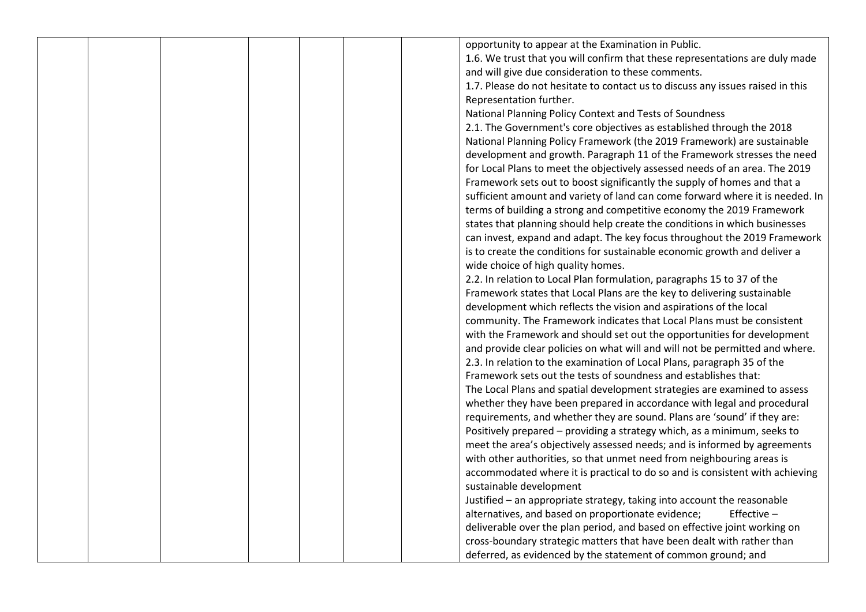|  |  |  | opportunity to appear at the Examination in Public.                            |
|--|--|--|--------------------------------------------------------------------------------|
|  |  |  | 1.6. We trust that you will confirm that these representations are duly made   |
|  |  |  | and will give due consideration to these comments.                             |
|  |  |  | 1.7. Please do not hesitate to contact us to discuss any issues raised in this |
|  |  |  | Representation further.                                                        |
|  |  |  |                                                                                |
|  |  |  | National Planning Policy Context and Tests of Soundness                        |
|  |  |  | 2.1. The Government's core objectives as established through the 2018          |
|  |  |  | National Planning Policy Framework (the 2019 Framework) are sustainable        |
|  |  |  | development and growth. Paragraph 11 of the Framework stresses the need        |
|  |  |  | for Local Plans to meet the objectively assessed needs of an area. The 2019    |
|  |  |  | Framework sets out to boost significantly the supply of homes and that a       |
|  |  |  | sufficient amount and variety of land can come forward where it is needed. In  |
|  |  |  | terms of building a strong and competitive economy the 2019 Framework          |
|  |  |  | states that planning should help create the conditions in which businesses     |
|  |  |  | can invest, expand and adapt. The key focus throughout the 2019 Framework      |
|  |  |  | is to create the conditions for sustainable economic growth and deliver a      |
|  |  |  | wide choice of high quality homes.                                             |
|  |  |  | 2.2. In relation to Local Plan formulation, paragraphs 15 to 37 of the         |
|  |  |  | Framework states that Local Plans are the key to delivering sustainable        |
|  |  |  | development which reflects the vision and aspirations of the local             |
|  |  |  | community. The Framework indicates that Local Plans must be consistent         |
|  |  |  | with the Framework and should set out the opportunities for development        |
|  |  |  | and provide clear policies on what will and will not be permitted and where.   |
|  |  |  | 2.3. In relation to the examination of Local Plans, paragraph 35 of the        |
|  |  |  | Framework sets out the tests of soundness and establishes that:                |
|  |  |  | The Local Plans and spatial development strategies are examined to assess      |
|  |  |  | whether they have been prepared in accordance with legal and procedural        |
|  |  |  | requirements, and whether they are sound. Plans are 'sound' if they are:       |
|  |  |  | Positively prepared - providing a strategy which, as a minimum, seeks to       |
|  |  |  | meet the area's objectively assessed needs; and is informed by agreements      |
|  |  |  | with other authorities, so that unmet need from neighbouring areas is          |
|  |  |  | accommodated where it is practical to do so and is consistent with achieving   |
|  |  |  | sustainable development                                                        |
|  |  |  | Justified - an appropriate strategy, taking into account the reasonable        |
|  |  |  | alternatives, and based on proportionate evidence;<br>Effective $-$            |
|  |  |  | deliverable over the plan period, and based on effective joint working on      |
|  |  |  | cross-boundary strategic matters that have been dealt with rather than         |
|  |  |  | deferred, as evidenced by the statement of common ground; and                  |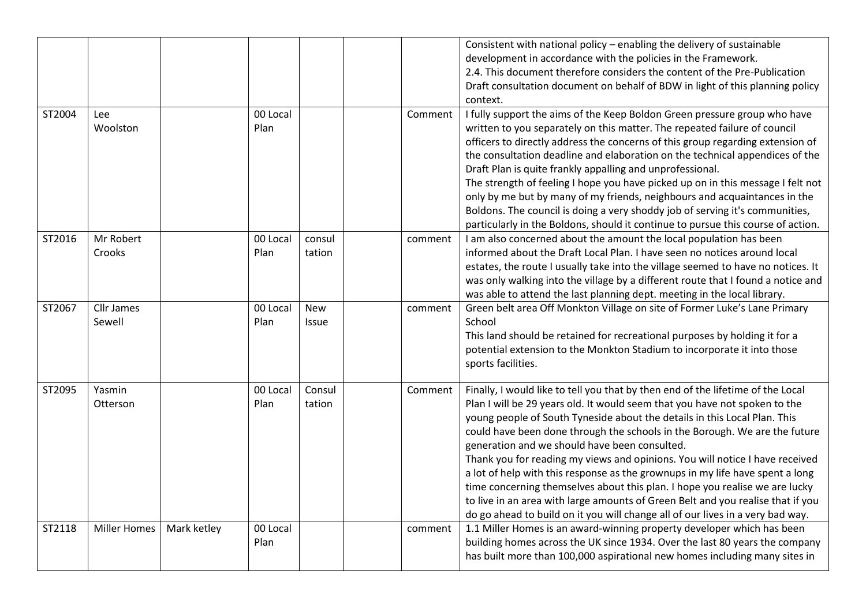|        |                             |             |                  |                            |         | Consistent with national policy - enabling the delivery of sustainable<br>development in accordance with the policies in the Framework.<br>2.4. This document therefore considers the content of the Pre-Publication<br>Draft consultation document on behalf of BDW in light of this planning policy<br>context.                                                                                                                                                                                                                                                                                                                                                                                                                                                                              |
|--------|-----------------------------|-------------|------------------|----------------------------|---------|------------------------------------------------------------------------------------------------------------------------------------------------------------------------------------------------------------------------------------------------------------------------------------------------------------------------------------------------------------------------------------------------------------------------------------------------------------------------------------------------------------------------------------------------------------------------------------------------------------------------------------------------------------------------------------------------------------------------------------------------------------------------------------------------|
| ST2004 | Lee<br>Woolston             |             | 00 Local<br>Plan |                            | Comment | I fully support the aims of the Keep Boldon Green pressure group who have<br>written to you separately on this matter. The repeated failure of council<br>officers to directly address the concerns of this group regarding extension of<br>the consultation deadline and elaboration on the technical appendices of the<br>Draft Plan is quite frankly appalling and unprofessional.<br>The strength of feeling I hope you have picked up on in this message I felt not<br>only by me but by many of my friends, neighbours and acquaintances in the<br>Boldons. The council is doing a very shoddy job of serving it's communities,<br>particularly in the Boldons, should it continue to pursue this course of action.                                                                      |
| ST2016 | Mr Robert<br>Crooks         |             | 00 Local<br>Plan | consul<br>tation           | comment | I am also concerned about the amount the local population has been<br>informed about the Draft Local Plan. I have seen no notices around local<br>estates, the route I usually take into the village seemed to have no notices. It<br>was only walking into the village by a different route that I found a notice and<br>was able to attend the last planning dept. meeting in the local library.                                                                                                                                                                                                                                                                                                                                                                                             |
| ST2067 | <b>Cllr James</b><br>Sewell |             | 00 Local<br>Plan | <b>New</b><br><b>Issue</b> | comment | Green belt area Off Monkton Village on site of Former Luke's Lane Primary<br>School<br>This land should be retained for recreational purposes by holding it for a<br>potential extension to the Monkton Stadium to incorporate it into those<br>sports facilities.                                                                                                                                                                                                                                                                                                                                                                                                                                                                                                                             |
| ST2095 | Yasmin<br>Otterson          |             | 00 Local<br>Plan | Consul<br>tation           | Comment | Finally, I would like to tell you that by then end of the lifetime of the Local<br>Plan I will be 29 years old. It would seem that you have not spoken to the<br>young people of South Tyneside about the details in this Local Plan. This<br>could have been done through the schools in the Borough. We are the future<br>generation and we should have been consulted.<br>Thank you for reading my views and opinions. You will notice I have received<br>a lot of help with this response as the grownups in my life have spent a long<br>time concerning themselves about this plan. I hope you realise we are lucky<br>to live in an area with large amounts of Green Belt and you realise that if you<br>do go ahead to build on it you will change all of our lives in a very bad way. |
| ST2118 | <b>Miller Homes</b>         | Mark ketley | 00 Local<br>Plan |                            | comment | 1.1 Miller Homes is an award-winning property developer which has been<br>building homes across the UK since 1934. Over the last 80 years the company<br>has built more than 100,000 aspirational new homes including many sites in                                                                                                                                                                                                                                                                                                                                                                                                                                                                                                                                                            |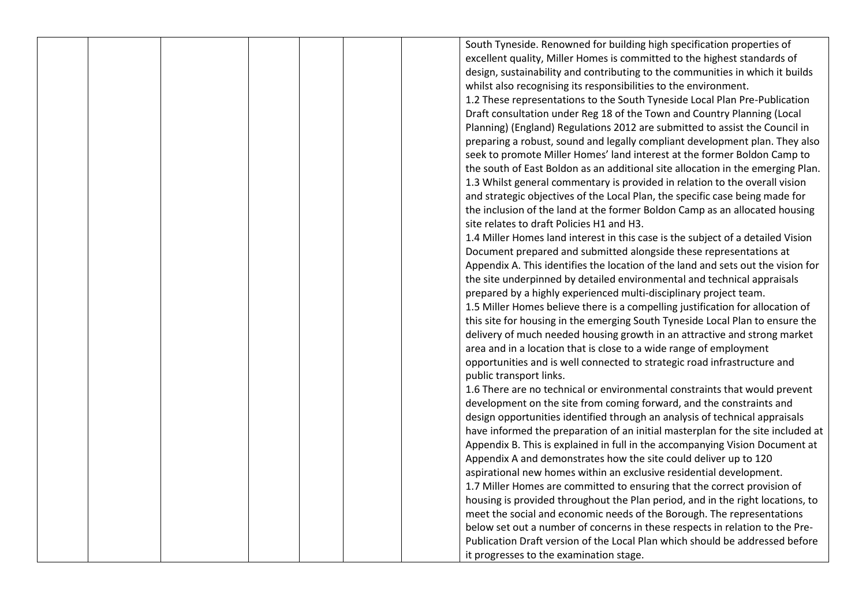|  |  |  | South Tyneside. Renowned for building high specification properties of           |
|--|--|--|----------------------------------------------------------------------------------|
|  |  |  | excellent quality, Miller Homes is committed to the highest standards of         |
|  |  |  | design, sustainability and contributing to the communities in which it builds    |
|  |  |  | whilst also recognising its responsibilities to the environment.                 |
|  |  |  | 1.2 These representations to the South Tyneside Local Plan Pre-Publication       |
|  |  |  | Draft consultation under Reg 18 of the Town and Country Planning (Local          |
|  |  |  | Planning) (England) Regulations 2012 are submitted to assist the Council in      |
|  |  |  | preparing a robust, sound and legally compliant development plan. They also      |
|  |  |  | seek to promote Miller Homes' land interest at the former Boldon Camp to         |
|  |  |  | the south of East Boldon as an additional site allocation in the emerging Plan.  |
|  |  |  | 1.3 Whilst general commentary is provided in relation to the overall vision      |
|  |  |  | and strategic objectives of the Local Plan, the specific case being made for     |
|  |  |  | the inclusion of the land at the former Boldon Camp as an allocated housing      |
|  |  |  | site relates to draft Policies H1 and H3.                                        |
|  |  |  | 1.4 Miller Homes land interest in this case is the subject of a detailed Vision  |
|  |  |  | Document prepared and submitted alongside these representations at               |
|  |  |  | Appendix A. This identifies the location of the land and sets out the vision for |
|  |  |  | the site underpinned by detailed environmental and technical appraisals          |
|  |  |  | prepared by a highly experienced multi-disciplinary project team.                |
|  |  |  | 1.5 Miller Homes believe there is a compelling justification for allocation of   |
|  |  |  | this site for housing in the emerging South Tyneside Local Plan to ensure the    |
|  |  |  | delivery of much needed housing growth in an attractive and strong market        |
|  |  |  | area and in a location that is close to a wide range of employment               |
|  |  |  | opportunities and is well connected to strategic road infrastructure and         |
|  |  |  | public transport links.                                                          |
|  |  |  | 1.6 There are no technical or environmental constraints that would prevent       |
|  |  |  | development on the site from coming forward, and the constraints and             |
|  |  |  | design opportunities identified through an analysis of technical appraisals      |
|  |  |  | have informed the preparation of an initial masterplan for the site included at  |
|  |  |  | Appendix B. This is explained in full in the accompanying Vision Document at     |
|  |  |  | Appendix A and demonstrates how the site could deliver up to 120                 |
|  |  |  | aspirational new homes within an exclusive residential development.              |
|  |  |  | 1.7 Miller Homes are committed to ensuring that the correct provision of         |
|  |  |  | housing is provided throughout the Plan period, and in the right locations, to   |
|  |  |  | meet the social and economic needs of the Borough. The representations           |
|  |  |  | below set out a number of concerns in these respects in relation to the Pre-     |
|  |  |  | Publication Draft version of the Local Plan which should be addressed before     |
|  |  |  | it progresses to the examination stage.                                          |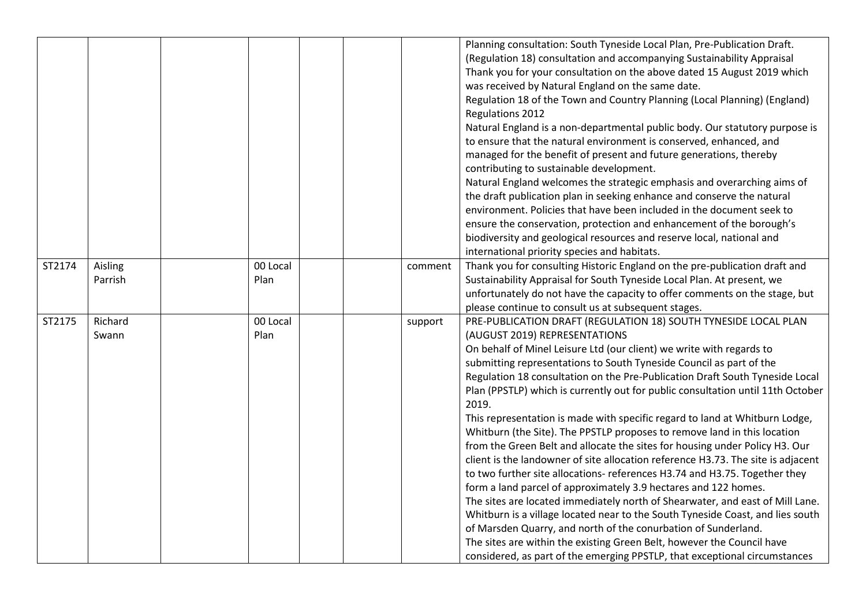|        |                    |                  |         | Planning consultation: South Tyneside Local Plan, Pre-Publication Draft.<br>(Regulation 18) consultation and accompanying Sustainability Appraisal<br>Thank you for your consultation on the above dated 15 August 2019 which<br>was received by Natural England on the same date.<br>Regulation 18 of the Town and Country Planning (Local Planning) (England)<br>Regulations 2012<br>Natural England is a non-departmental public body. Our statutory purpose is<br>to ensure that the natural environment is conserved, enhanced, and<br>managed for the benefit of present and future generations, thereby<br>contributing to sustainable development.<br>Natural England welcomes the strategic emphasis and overarching aims of<br>the draft publication plan in seeking enhance and conserve the natural<br>environment. Policies that have been included in the document seek to<br>ensure the conservation, protection and enhancement of the borough's<br>biodiversity and geological resources and reserve local, national and<br>international priority species and habitats.                                                                                                                                                                                                               |
|--------|--------------------|------------------|---------|---------------------------------------------------------------------------------------------------------------------------------------------------------------------------------------------------------------------------------------------------------------------------------------------------------------------------------------------------------------------------------------------------------------------------------------------------------------------------------------------------------------------------------------------------------------------------------------------------------------------------------------------------------------------------------------------------------------------------------------------------------------------------------------------------------------------------------------------------------------------------------------------------------------------------------------------------------------------------------------------------------------------------------------------------------------------------------------------------------------------------------------------------------------------------------------------------------------------------------------------------------------------------------------------------------|
| ST2174 | Aisling<br>Parrish | 00 Local<br>Plan | comment | Thank you for consulting Historic England on the pre-publication draft and<br>Sustainability Appraisal for South Tyneside Local Plan. At present, we<br>unfortunately do not have the capacity to offer comments on the stage, but<br>please continue to consult us at subsequent stages.                                                                                                                                                                                                                                                                                                                                                                                                                                                                                                                                                                                                                                                                                                                                                                                                                                                                                                                                                                                                               |
| ST2175 | Richard<br>Swann   | 00 Local<br>Plan | support | PRE-PUBLICATION DRAFT (REGULATION 18) SOUTH TYNESIDE LOCAL PLAN<br>(AUGUST 2019) REPRESENTATIONS<br>On behalf of Minel Leisure Ltd (our client) we write with regards to<br>submitting representations to South Tyneside Council as part of the<br>Regulation 18 consultation on the Pre-Publication Draft South Tyneside Local<br>Plan (PPSTLP) which is currently out for public consultation until 11th October<br>2019.<br>This representation is made with specific regard to land at Whitburn Lodge,<br>Whitburn (the Site). The PPSTLP proposes to remove land in this location<br>from the Green Belt and allocate the sites for housing under Policy H3. Our<br>client is the landowner of site allocation reference H3.73. The site is adjacent<br>to two further site allocations- references H3.74 and H3.75. Together they<br>form a land parcel of approximately 3.9 hectares and 122 homes.<br>The sites are located immediately north of Shearwater, and east of Mill Lane.<br>Whitburn is a village located near to the South Tyneside Coast, and lies south<br>of Marsden Quarry, and north of the conurbation of Sunderland.<br>The sites are within the existing Green Belt, however the Council have<br>considered, as part of the emerging PPSTLP, that exceptional circumstances |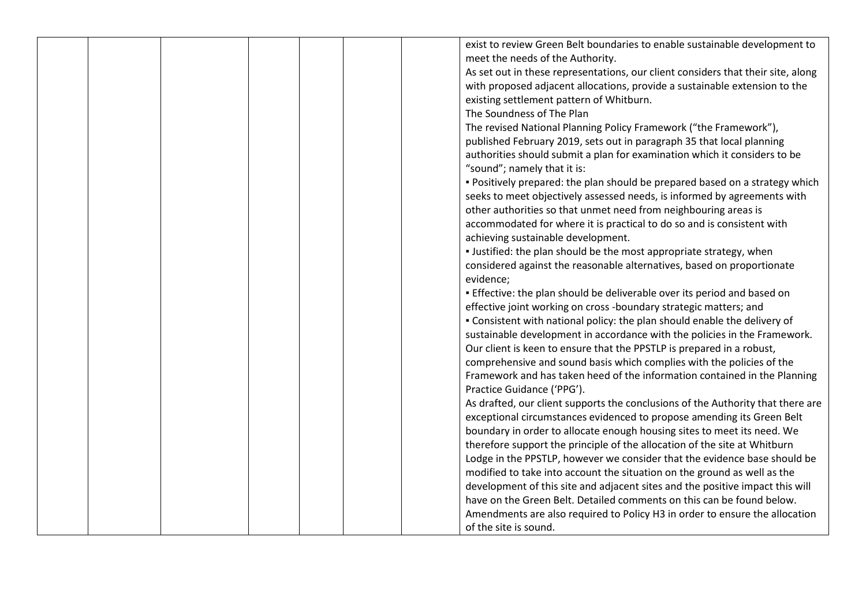|  |  |           | exist to review Green Belt boundaries to enable sustainable development to       |
|--|--|-----------|----------------------------------------------------------------------------------|
|  |  |           | meet the needs of the Authority.                                                 |
|  |  |           | As set out in these representations, our client considers that their site, along |
|  |  |           | with proposed adjacent allocations, provide a sustainable extension to the       |
|  |  |           | existing settlement pattern of Whitburn.                                         |
|  |  |           | The Soundness of The Plan                                                        |
|  |  |           | The revised National Planning Policy Framework ("the Framework"),                |
|  |  |           | published February 2019, sets out in paragraph 35 that local planning            |
|  |  |           | authorities should submit a plan for examination which it considers to be        |
|  |  |           | "sound"; namely that it is:                                                      |
|  |  |           | . Positively prepared: the plan should be prepared based on a strategy which     |
|  |  |           | seeks to meet objectively assessed needs, is informed by agreements with         |
|  |  |           |                                                                                  |
|  |  |           | other authorities so that unmet need from neighbouring areas is                  |
|  |  |           | accommodated for where it is practical to do so and is consistent with           |
|  |  |           | achieving sustainable development.                                               |
|  |  |           | . Justified: the plan should be the most appropriate strategy, when              |
|  |  |           | considered against the reasonable alternatives, based on proportionate           |
|  |  | evidence; |                                                                                  |
|  |  |           | . Effective: the plan should be deliverable over its period and based on         |
|  |  |           | effective joint working on cross -boundary strategic matters; and                |
|  |  |           | . Consistent with national policy: the plan should enable the delivery of        |
|  |  |           | sustainable development in accordance with the policies in the Framework.        |
|  |  |           | Our client is keen to ensure that the PPSTLP is prepared in a robust,            |
|  |  |           | comprehensive and sound basis which complies with the policies of the            |
|  |  |           | Framework and has taken heed of the information contained in the Planning        |
|  |  |           | Practice Guidance ('PPG').                                                       |
|  |  |           | As drafted, our client supports the conclusions of the Authority that there are  |
|  |  |           | exceptional circumstances evidenced to propose amending its Green Belt           |
|  |  |           | boundary in order to allocate enough housing sites to meet its need. We          |
|  |  |           | therefore support the principle of the allocation of the site at Whitburn        |
|  |  |           | Lodge in the PPSTLP, however we consider that the evidence base should be        |
|  |  |           | modified to take into account the situation on the ground as well as the         |
|  |  |           | development of this site and adjacent sites and the positive impact this will    |
|  |  |           | have on the Green Belt. Detailed comments on this can be found below.            |
|  |  |           |                                                                                  |
|  |  |           | Amendments are also required to Policy H3 in order to ensure the allocation      |
|  |  |           | of the site is sound.                                                            |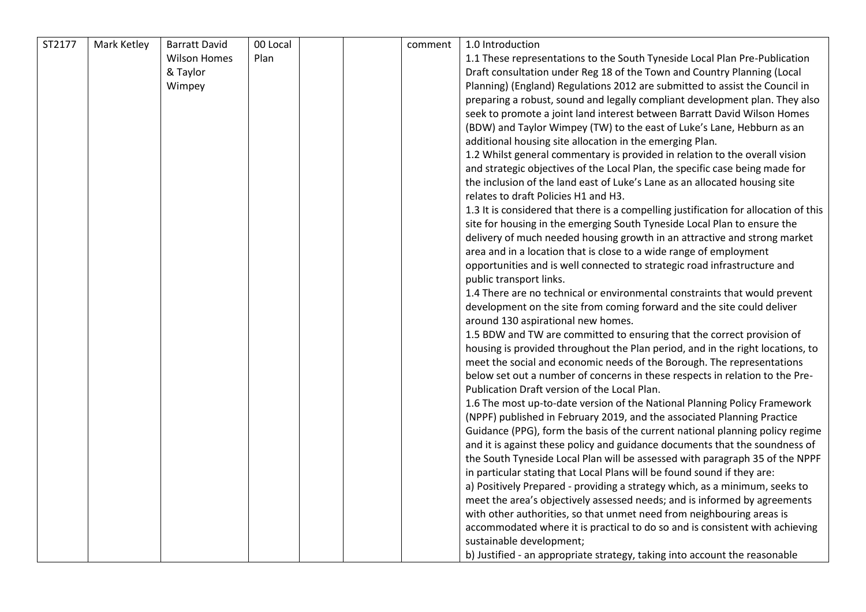| ST2177 | Mark Ketley | <b>Barratt David</b> | 00 Local |  | comment | 1.0 Introduction                                                                     |
|--------|-------------|----------------------|----------|--|---------|--------------------------------------------------------------------------------------|
|        |             | <b>Wilson Homes</b>  | Plan     |  |         | 1.1 These representations to the South Tyneside Local Plan Pre-Publication           |
|        |             | & Taylor             |          |  |         | Draft consultation under Reg 18 of the Town and Country Planning (Local              |
|        |             | Wimpey               |          |  |         | Planning) (England) Regulations 2012 are submitted to assist the Council in          |
|        |             |                      |          |  |         | preparing a robust, sound and legally compliant development plan. They also          |
|        |             |                      |          |  |         | seek to promote a joint land interest between Barratt David Wilson Homes             |
|        |             |                      |          |  |         | (BDW) and Taylor Wimpey (TW) to the east of Luke's Lane, Hebburn as an               |
|        |             |                      |          |  |         | additional housing site allocation in the emerging Plan.                             |
|        |             |                      |          |  |         | 1.2 Whilst general commentary is provided in relation to the overall vision          |
|        |             |                      |          |  |         | and strategic objectives of the Local Plan, the specific case being made for         |
|        |             |                      |          |  |         | the inclusion of the land east of Luke's Lane as an allocated housing site           |
|        |             |                      |          |  |         | relates to draft Policies H1 and H3.                                                 |
|        |             |                      |          |  |         | 1.3 It is considered that there is a compelling justification for allocation of this |
|        |             |                      |          |  |         | site for housing in the emerging South Tyneside Local Plan to ensure the             |
|        |             |                      |          |  |         | delivery of much needed housing growth in an attractive and strong market            |
|        |             |                      |          |  |         | area and in a location that is close to a wide range of employment                   |
|        |             |                      |          |  |         | opportunities and is well connected to strategic road infrastructure and             |
|        |             |                      |          |  |         | public transport links.                                                              |
|        |             |                      |          |  |         | 1.4 There are no technical or environmental constraints that would prevent           |
|        |             |                      |          |  |         | development on the site from coming forward and the site could deliver               |
|        |             |                      |          |  |         | around 130 aspirational new homes.                                                   |
|        |             |                      |          |  |         | 1.5 BDW and TW are committed to ensuring that the correct provision of               |
|        |             |                      |          |  |         | housing is provided throughout the Plan period, and in the right locations, to       |
|        |             |                      |          |  |         | meet the social and economic needs of the Borough. The representations               |
|        |             |                      |          |  |         | below set out a number of concerns in these respects in relation to the Pre-         |
|        |             |                      |          |  |         | Publication Draft version of the Local Plan.                                         |
|        |             |                      |          |  |         | 1.6 The most up-to-date version of the National Planning Policy Framework            |
|        |             |                      |          |  |         | (NPPF) published in February 2019, and the associated Planning Practice              |
|        |             |                      |          |  |         | Guidance (PPG), form the basis of the current national planning policy regime        |
|        |             |                      |          |  |         | and it is against these policy and guidance documents that the soundness of          |
|        |             |                      |          |  |         | the South Tyneside Local Plan will be assessed with paragraph 35 of the NPPF         |
|        |             |                      |          |  |         | in particular stating that Local Plans will be found sound if they are:              |
|        |             |                      |          |  |         | a) Positively Prepared - providing a strategy which, as a minimum, seeks to          |
|        |             |                      |          |  |         | meet the area's objectively assessed needs; and is informed by agreements            |
|        |             |                      |          |  |         | with other authorities, so that unmet need from neighbouring areas is                |
|        |             |                      |          |  |         | accommodated where it is practical to do so and is consistent with achieving         |
|        |             |                      |          |  |         | sustainable development;                                                             |
|        |             |                      |          |  |         | b) Justified - an appropriate strategy, taking into account the reasonable           |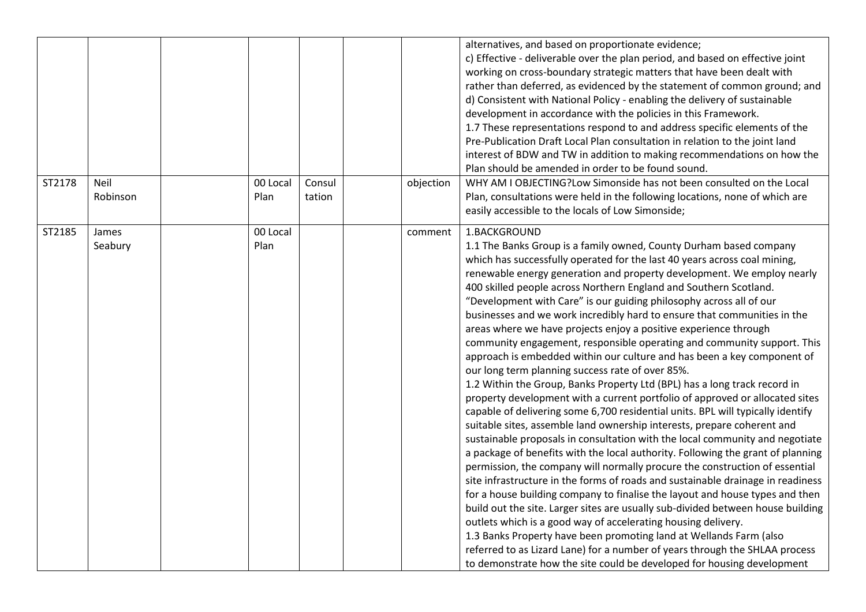| ST2178 | Neil             | 00 Local         | Consul | objection | alternatives, and based on proportionate evidence;<br>c) Effective - deliverable over the plan period, and based on effective joint<br>working on cross-boundary strategic matters that have been dealt with<br>rather than deferred, as evidenced by the statement of common ground; and<br>d) Consistent with National Policy - enabling the delivery of sustainable<br>development in accordance with the policies in this Framework.<br>1.7 These representations respond to and address specific elements of the<br>Pre-Publication Draft Local Plan consultation in relation to the joint land<br>interest of BDW and TW in addition to making recommendations on how the<br>Plan should be amended in order to be found sound.<br>WHY AM I OBJECTING?Low Simonside has not been consulted on the Local                                                                                                                                                                                                                                                                                                                                                                                                                                                                                                                                                                                                                                                                                                                                                                                                                                                                                                                                                                                                                                                                      |
|--------|------------------|------------------|--------|-----------|------------------------------------------------------------------------------------------------------------------------------------------------------------------------------------------------------------------------------------------------------------------------------------------------------------------------------------------------------------------------------------------------------------------------------------------------------------------------------------------------------------------------------------------------------------------------------------------------------------------------------------------------------------------------------------------------------------------------------------------------------------------------------------------------------------------------------------------------------------------------------------------------------------------------------------------------------------------------------------------------------------------------------------------------------------------------------------------------------------------------------------------------------------------------------------------------------------------------------------------------------------------------------------------------------------------------------------------------------------------------------------------------------------------------------------------------------------------------------------------------------------------------------------------------------------------------------------------------------------------------------------------------------------------------------------------------------------------------------------------------------------------------------------------------------------------------------------------------------------------------------------|
|        | Robinson         | Plan             | tation |           | Plan, consultations were held in the following locations, none of which are<br>easily accessible to the locals of Low Simonside;                                                                                                                                                                                                                                                                                                                                                                                                                                                                                                                                                                                                                                                                                                                                                                                                                                                                                                                                                                                                                                                                                                                                                                                                                                                                                                                                                                                                                                                                                                                                                                                                                                                                                                                                                   |
| ST2185 | James<br>Seabury | 00 Local<br>Plan |        | comment   | 1.BACKGROUND<br>1.1 The Banks Group is a family owned, County Durham based company<br>which has successfully operated for the last 40 years across coal mining,<br>renewable energy generation and property development. We employ nearly<br>400 skilled people across Northern England and Southern Scotland.<br>"Development with Care" is our guiding philosophy across all of our<br>businesses and we work incredibly hard to ensure that communities in the<br>areas where we have projects enjoy a positive experience through<br>community engagement, responsible operating and community support. This<br>approach is embedded within our culture and has been a key component of<br>our long term planning success rate of over 85%.<br>1.2 Within the Group, Banks Property Ltd (BPL) has a long track record in<br>property development with a current portfolio of approved or allocated sites<br>capable of delivering some 6,700 residential units. BPL will typically identify<br>suitable sites, assemble land ownership interests, prepare coherent and<br>sustainable proposals in consultation with the local community and negotiate<br>a package of benefits with the local authority. Following the grant of planning<br>permission, the company will normally procure the construction of essential<br>site infrastructure in the forms of roads and sustainable drainage in readiness<br>for a house building company to finalise the layout and house types and then<br>build out the site. Larger sites are usually sub-divided between house building<br>outlets which is a good way of accelerating housing delivery.<br>1.3 Banks Property have been promoting land at Wellands Farm (also<br>referred to as Lizard Lane) for a number of years through the SHLAA process<br>to demonstrate how the site could be developed for housing development |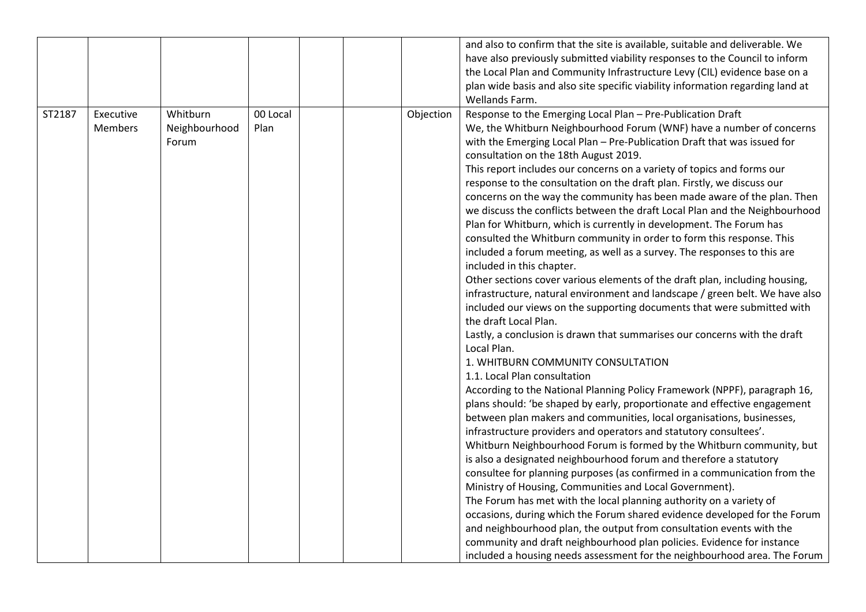|        |                             |                                    |                  |           | and also to confirm that the site is available, suitable and deliverable. We<br>have also previously submitted viability responses to the Council to inform<br>the Local Plan and Community Infrastructure Levy (CIL) evidence base on a<br>plan wide basis and also site specific viability information regarding land at<br>Wellands Farm.                                                                                                                                                                                                                                                                                                                                                                                                                                                                                                                                                                                                                                                                                                                                                                                                                                                                                                                                                                                                                                                                                                                                                                                                                                                                                                                                                                                                                                                                                                                                                                                                                                                                                                                                                                                                                                                                                                            |
|--------|-----------------------------|------------------------------------|------------------|-----------|---------------------------------------------------------------------------------------------------------------------------------------------------------------------------------------------------------------------------------------------------------------------------------------------------------------------------------------------------------------------------------------------------------------------------------------------------------------------------------------------------------------------------------------------------------------------------------------------------------------------------------------------------------------------------------------------------------------------------------------------------------------------------------------------------------------------------------------------------------------------------------------------------------------------------------------------------------------------------------------------------------------------------------------------------------------------------------------------------------------------------------------------------------------------------------------------------------------------------------------------------------------------------------------------------------------------------------------------------------------------------------------------------------------------------------------------------------------------------------------------------------------------------------------------------------------------------------------------------------------------------------------------------------------------------------------------------------------------------------------------------------------------------------------------------------------------------------------------------------------------------------------------------------------------------------------------------------------------------------------------------------------------------------------------------------------------------------------------------------------------------------------------------------------------------------------------------------------------------------------------------------|
| ST2187 | Executive<br><b>Members</b> | Whitburn<br>Neighbourhood<br>Forum | 00 Local<br>Plan | Objection | Response to the Emerging Local Plan - Pre-Publication Draft<br>We, the Whitburn Neighbourhood Forum (WNF) have a number of concerns<br>with the Emerging Local Plan - Pre-Publication Draft that was issued for<br>consultation on the 18th August 2019.<br>This report includes our concerns on a variety of topics and forms our<br>response to the consultation on the draft plan. Firstly, we discuss our<br>concerns on the way the community has been made aware of the plan. Then<br>we discuss the conflicts between the draft Local Plan and the Neighbourhood<br>Plan for Whitburn, which is currently in development. The Forum has<br>consulted the Whitburn community in order to form this response. This<br>included a forum meeting, as well as a survey. The responses to this are<br>included in this chapter.<br>Other sections cover various elements of the draft plan, including housing,<br>infrastructure, natural environment and landscape / green belt. We have also<br>included our views on the supporting documents that were submitted with<br>the draft Local Plan.<br>Lastly, a conclusion is drawn that summarises our concerns with the draft<br>Local Plan.<br>1. WHITBURN COMMUNITY CONSULTATION<br>1.1. Local Plan consultation<br>According to the National Planning Policy Framework (NPPF), paragraph 16,<br>plans should: 'be shaped by early, proportionate and effective engagement<br>between plan makers and communities, local organisations, businesses,<br>infrastructure providers and operators and statutory consultees'.<br>Whitburn Neighbourhood Forum is formed by the Whitburn community, but<br>is also a designated neighbourhood forum and therefore a statutory<br>consultee for planning purposes (as confirmed in a communication from the<br>Ministry of Housing, Communities and Local Government).<br>The Forum has met with the local planning authority on a variety of<br>occasions, during which the Forum shared evidence developed for the Forum<br>and neighbourhood plan, the output from consultation events with the<br>community and draft neighbourhood plan policies. Evidence for instance<br>included a housing needs assessment for the neighbourhood area. The Forum |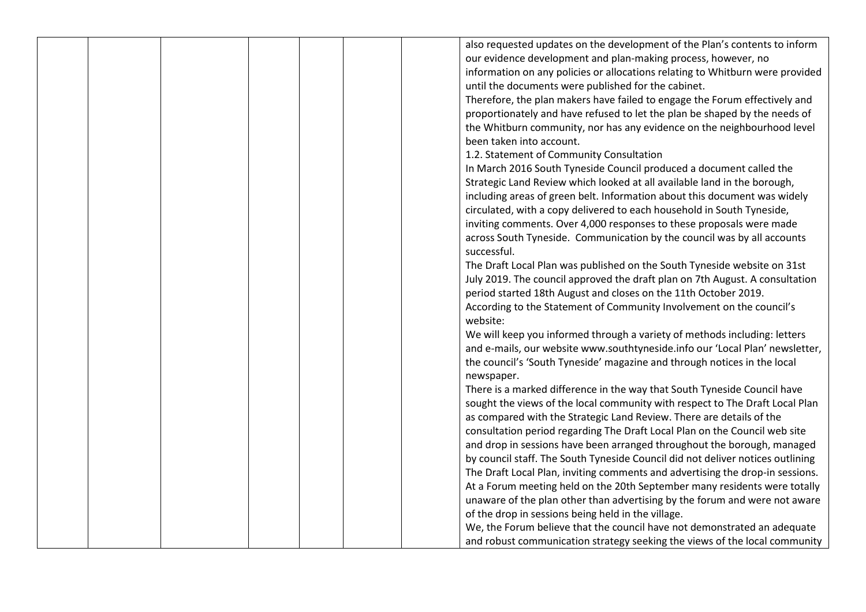|  |  |  | also requested updates on the development of the Plan's contents to inform     |
|--|--|--|--------------------------------------------------------------------------------|
|  |  |  | our evidence development and plan-making process, however, no                  |
|  |  |  | information on any policies or allocations relating to Whitburn were provided  |
|  |  |  | until the documents were published for the cabinet.                            |
|  |  |  | Therefore, the plan makers have failed to engage the Forum effectively and     |
|  |  |  | proportionately and have refused to let the plan be shaped by the needs of     |
|  |  |  | the Whitburn community, nor has any evidence on the neighbourhood level        |
|  |  |  | been taken into account.                                                       |
|  |  |  | 1.2. Statement of Community Consultation                                       |
|  |  |  | In March 2016 South Tyneside Council produced a document called the            |
|  |  |  | Strategic Land Review which looked at all available land in the borough,       |
|  |  |  | including areas of green belt. Information about this document was widely      |
|  |  |  | circulated, with a copy delivered to each household in South Tyneside,         |
|  |  |  | inviting comments. Over 4,000 responses to these proposals were made           |
|  |  |  | across South Tyneside. Communication by the council was by all accounts        |
|  |  |  | successful.                                                                    |
|  |  |  | The Draft Local Plan was published on the South Tyneside website on 31st       |
|  |  |  | July 2019. The council approved the draft plan on 7th August. A consultation   |
|  |  |  | period started 18th August and closes on the 11th October 2019.                |
|  |  |  | According to the Statement of Community Involvement on the council's           |
|  |  |  | website:                                                                       |
|  |  |  | We will keep you informed through a variety of methods including: letters      |
|  |  |  | and e-mails, our website www.southtyneside.info our 'Local Plan' newsletter,   |
|  |  |  | the council's 'South Tyneside' magazine and through notices in the local       |
|  |  |  | newspaper.                                                                     |
|  |  |  | There is a marked difference in the way that South Tyneside Council have       |
|  |  |  | sought the views of the local community with respect to The Draft Local Plan   |
|  |  |  | as compared with the Strategic Land Review. There are details of the           |
|  |  |  | consultation period regarding The Draft Local Plan on the Council web site     |
|  |  |  | and drop in sessions have been arranged throughout the borough, managed        |
|  |  |  | by council staff. The South Tyneside Council did not deliver notices outlining |
|  |  |  | The Draft Local Plan, inviting comments and advertising the drop-in sessions.  |
|  |  |  | At a Forum meeting held on the 20th September many residents were totally      |
|  |  |  | unaware of the plan other than advertising by the forum and were not aware     |
|  |  |  | of the drop in sessions being held in the village.                             |
|  |  |  | We, the Forum believe that the council have not demonstrated an adequate       |
|  |  |  | and robust communication strategy seeking the views of the local community     |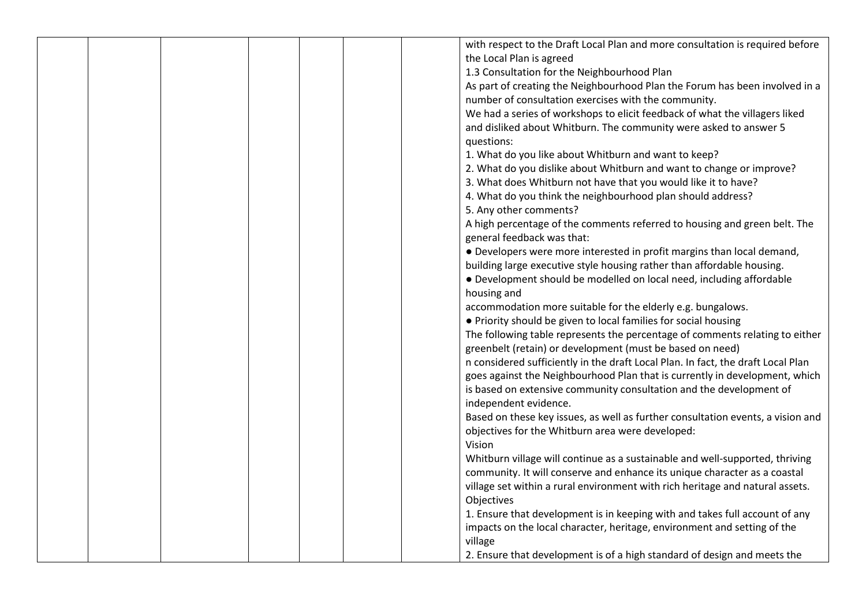|  |  | with respect to the Draft Local Plan and more consultation is required before                                                                             |
|--|--|-----------------------------------------------------------------------------------------------------------------------------------------------------------|
|  |  | the Local Plan is agreed                                                                                                                                  |
|  |  | 1.3 Consultation for the Neighbourhood Plan                                                                                                               |
|  |  |                                                                                                                                                           |
|  |  | As part of creating the Neighbourhood Plan the Forum has been involved in a                                                                               |
|  |  | number of consultation exercises with the community.                                                                                                      |
|  |  | We had a series of workshops to elicit feedback of what the villagers liked                                                                               |
|  |  | and disliked about Whitburn. The community were asked to answer 5                                                                                         |
|  |  | questions:                                                                                                                                                |
|  |  | 1. What do you like about Whitburn and want to keep?                                                                                                      |
|  |  | 2. What do you dislike about Whitburn and want to change or improve?                                                                                      |
|  |  | 3. What does Whitburn not have that you would like it to have?                                                                                            |
|  |  | 4. What do you think the neighbourhood plan should address?                                                                                               |
|  |  | 5. Any other comments?                                                                                                                                    |
|  |  | A high percentage of the comments referred to housing and green belt. The                                                                                 |
|  |  | general feedback was that:                                                                                                                                |
|  |  | • Developers were more interested in profit margins than local demand,                                                                                    |
|  |  | building large executive style housing rather than affordable housing.                                                                                    |
|  |  | • Development should be modelled on local need, including affordable                                                                                      |
|  |  | housing and                                                                                                                                               |
|  |  | accommodation more suitable for the elderly e.g. bungalows.                                                                                               |
|  |  | • Priority should be given to local families for social housing                                                                                           |
|  |  | The following table represents the percentage of comments relating to either                                                                              |
|  |  | greenbelt (retain) or development (must be based on need)                                                                                                 |
|  |  | n considered sufficiently in the draft Local Plan. In fact, the draft Local Plan                                                                          |
|  |  | goes against the Neighbourhood Plan that is currently in development, which                                                                               |
|  |  | is based on extensive community consultation and the development of                                                                                       |
|  |  | independent evidence.                                                                                                                                     |
|  |  | Based on these key issues, as well as further consultation events, a vision and                                                                           |
|  |  | objectives for the Whitburn area were developed:                                                                                                          |
|  |  | Vision                                                                                                                                                    |
|  |  |                                                                                                                                                           |
|  |  | Whitburn village will continue as a sustainable and well-supported, thriving<br>community. It will conserve and enhance its unique character as a coastal |
|  |  |                                                                                                                                                           |
|  |  | village set within a rural environment with rich heritage and natural assets.                                                                             |
|  |  | Objectives                                                                                                                                                |
|  |  | 1. Ensure that development is in keeping with and takes full account of any                                                                               |
|  |  | impacts on the local character, heritage, environment and setting of the                                                                                  |
|  |  | village                                                                                                                                                   |
|  |  | 2. Ensure that development is of a high standard of design and meets the                                                                                  |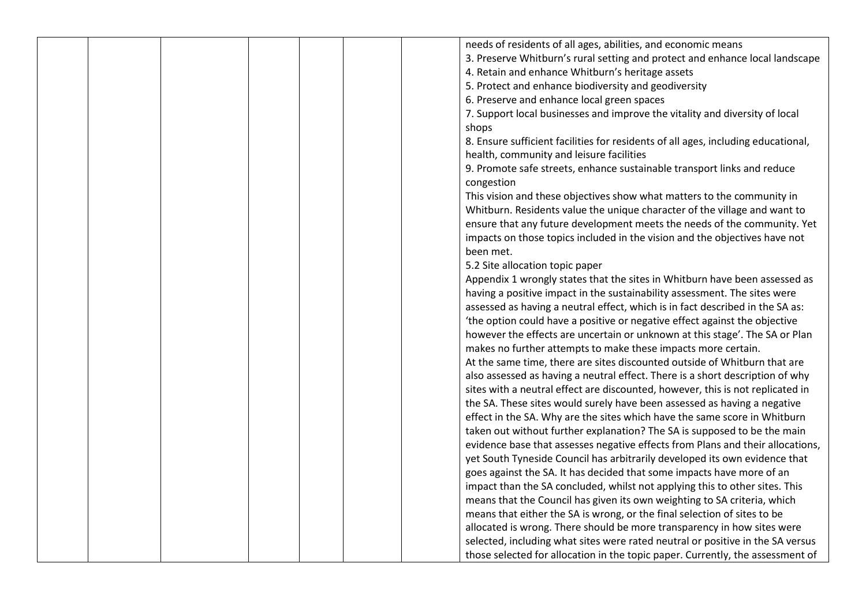| needs of residents of all ages, abilities, and economic means                         |
|---------------------------------------------------------------------------------------|
| 3. Preserve Whitburn's rural setting and protect and enhance local landscape          |
| 4. Retain and enhance Whitburn's heritage assets                                      |
| 5. Protect and enhance biodiversity and geodiversity                                  |
| 6. Preserve and enhance local green spaces                                            |
| 7. Support local businesses and improve the vitality and diversity of local           |
| shops                                                                                 |
|                                                                                       |
| 8. Ensure sufficient facilities for residents of all ages, including educational,     |
| health, community and leisure facilities                                              |
| 9. Promote safe streets, enhance sustainable transport links and reduce<br>congestion |
| This vision and these objectives show what matters to the community in                |
| Whitburn. Residents value the unique character of the village and want to             |
| ensure that any future development meets the needs of the community. Yet              |
| impacts on those topics included in the vision and the objectives have not            |
| been met.                                                                             |
| 5.2 Site allocation topic paper                                                       |
| Appendix 1 wrongly states that the sites in Whitburn have been assessed as            |
| having a positive impact in the sustainability assessment. The sites were             |
| assessed as having a neutral effect, which is in fact described in the SA as:         |
| 'the option could have a positive or negative effect against the objective            |
| however the effects are uncertain or unknown at this stage'. The SA or Plan           |
| makes no further attempts to make these impacts more certain.                         |
| At the same time, there are sites discounted outside of Whitburn that are             |
| also assessed as having a neutral effect. There is a short description of why         |
| sites with a neutral effect are discounted, however, this is not replicated in        |
| the SA. These sites would surely have been assessed as having a negative              |
| effect in the SA. Why are the sites which have the same score in Whitburn             |
| taken out without further explanation? The SA is supposed to be the main              |
| evidence base that assesses negative effects from Plans and their allocations,        |
| yet South Tyneside Council has arbitrarily developed its own evidence that            |
|                                                                                       |
| goes against the SA. It has decided that some impacts have more of an                 |
| impact than the SA concluded, whilst not applying this to other sites. This           |
| means that the Council has given its own weighting to SA criteria, which              |
| means that either the SA is wrong, or the final selection of sites to be              |
| allocated is wrong. There should be more transparency in how sites were               |
| selected, including what sites were rated neutral or positive in the SA versus        |
| those selected for allocation in the topic paper. Currently, the assessment of        |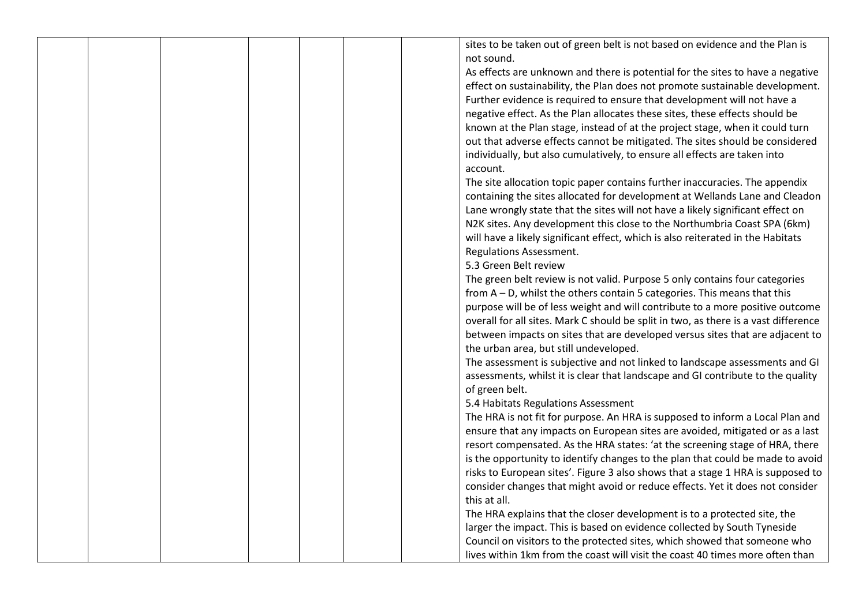sites to be taken out of green belt is not based on evidence and the Plan is not sound. As effects are unknown and there is potential for the sites to have a negative effect on sustainability, the Plan does not promote sustainable development. Further evidence is required to ensure that development will not have a negative effect. As the Plan allocates these sites, these effects should be known at the Plan stage, instead of at the project stage, when it could turn out that adverse effects cannot be mitigated. The sites should be considered individually, but also cumulatively, to ensure all effects are taken into account. The site allocation topic paper contains further inaccuracies. The appendix containing the sites allocated for development at Wellands Lane and Cleadon Lane wrongly state that the sites will not have a likely significant effect on N2K sites. Any development this close to the Northumbria Coast SPA (6km) will have a likely significant effect, which is also reiterated in the Habitats Regulations Assessment. 5.3 Green Belt review The green belt review is not valid. Purpose 5 only contains four categories from A – D, whilst the others contain 5 categories. This means that this purpose will be of less weight and will contribute to a more positive outcome overall for all sites. Mark C should be split in two, as there is a vast difference between impacts on sites that are developed versus sites that are adjacent to the urban area, but still undeveloped. The assessment is subjective and not linked to landscape assessments and GI assessments, whilst it is clear that landscape and GI contribute to the quality of green belt. 5.4 Habitats Regulations Assessment The HRA is not fit for purpose. An HRA is supposed to inform a Local Plan and ensure that any impacts on European sites are avoided, mitigated or as a last resort compensated. As the HRA states: 'at the screening stage of HRA, there is the opportunity to identify changes to the plan that could be made to avoid risks to European sites'. Figure 3 also shows that a stage 1 HRA is supposed to consider changes that might avoid or reduce effects. Yet it does not consider this at all.

The HRA explains that the closer development is to a protected site, the larger the impact. This is based on evidence collected by South Tyneside Council on visitors to the protected sites, which showed that someone who lives within 1km from the coast will visit the coast 40 times more often than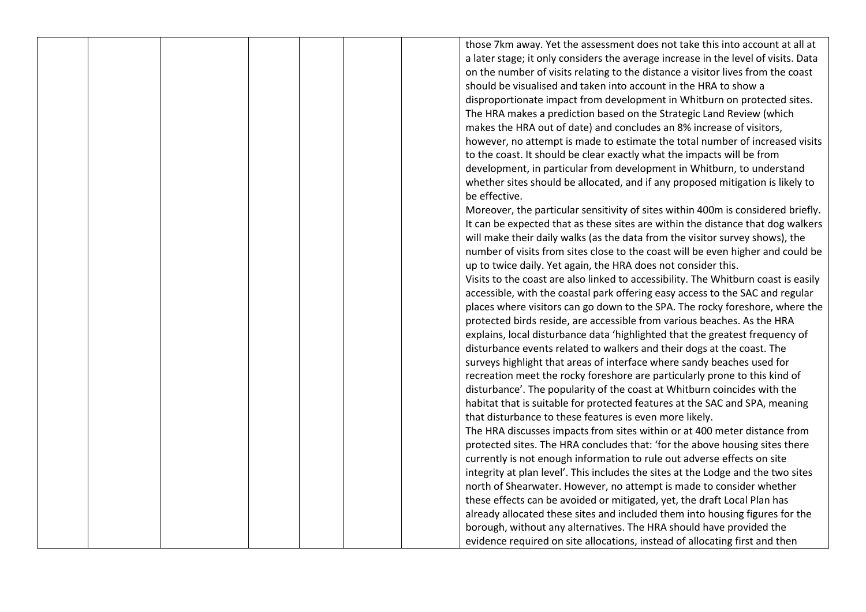those 7km away. Yet the assessment does not take this into account at all at a later stage; it only considers the average increase in the level of visits. Data on the number of visits relating to the distance a visitor lives from the coast should be visualised and taken into account in the HRA to show a disproportionate impact from development in Whitburn on protected sites. The HRA makes a prediction based on the Strategic Land Review (which makes the HRA out of date) and concludes an 8% increase of visitors, however, no attempt is made to estimate the total number of increased visits to the coast. It should be clear exactly what the impacts will be from development, in particular from development in Whitburn, to understand whether sites should be allocated, and if any proposed mitigation is likely to be effective.

Moreover, the particular sensitivity of sites within 400m is considered briefly. It can be expected that as these sites are within the distance that dog walkers will make their daily walks (as the data from the visitor survey shows), the number of visits from sites close to the coast will be even higher and could be up to twice daily. Yet again, the HRA does not consider this. Visits to the coast are also linked to accessibility. The Whitburn coast is easily accessible, with the coastal park offering easy access to the SAC and regular places where visitors can go down to the SPA. The rocky foreshore, where the protected birds reside, are accessible from various beaches. As the HRA explains, local disturbance data 'highlighted that the greatest frequency of disturbance events related to walkers and their dogs at the coast. The surveys highlight that areas of interface where sandy beaches used for recreation meet the rocky foreshore are particularly prone to this kind of disturbance'. The popularity of the coast at Whitburn coincides with the habitat that is suitable for protected features at the SAC and SPA, meaning that disturbance to these features is even more likely. The HRA discusses impacts from sites within or at 400 meter distance from

protected sites. The HRA concludes that: 'for the above housing sites there currently is not enough information to rule out adverse effects on site integrity at plan level'. This includes the sites at the Lodge and the two sites north of Shearwater. However, no attempt is made to consider whether these effects can be avoided or mitigated, yet, the draft Local Plan has already allocated these sites and included them into housing figures for the borough, without any alternatives. The HRA should have provided the evidence required on site allocations, instead of allocating first and then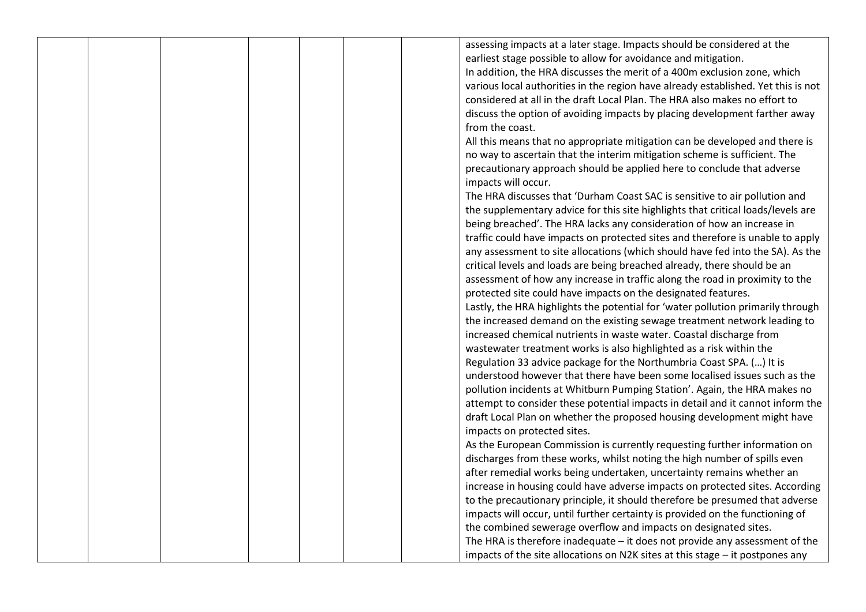|  |  | assessing impacts at a later stage. Impacts should be considered at the           |
|--|--|-----------------------------------------------------------------------------------|
|  |  | earliest stage possible to allow for avoidance and mitigation.                    |
|  |  | In addition, the HRA discusses the merit of a 400m exclusion zone, which          |
|  |  | various local authorities in the region have already established. Yet this is not |
|  |  | considered at all in the draft Local Plan. The HRA also makes no effort to        |
|  |  | discuss the option of avoiding impacts by placing development farther away        |
|  |  | from the coast.                                                                   |
|  |  | All this means that no appropriate mitigation can be developed and there is       |
|  |  | no way to ascertain that the interim mitigation scheme is sufficient. The         |
|  |  | precautionary approach should be applied here to conclude that adverse            |
|  |  | impacts will occur.                                                               |
|  |  | The HRA discusses that 'Durham Coast SAC is sensitive to air pollution and        |
|  |  | the supplementary advice for this site highlights that critical loads/levels are  |
|  |  | being breached'. The HRA lacks any consideration of how an increase in            |
|  |  | traffic could have impacts on protected sites and therefore is unable to apply    |
|  |  | any assessment to site allocations (which should have fed into the SA). As the    |
|  |  | critical levels and loads are being breached already, there should be an          |
|  |  | assessment of how any increase in traffic along the road in proximity to the      |
|  |  | protected site could have impacts on the designated features.                     |
|  |  | Lastly, the HRA highlights the potential for 'water pollution primarily through   |
|  |  | the increased demand on the existing sewage treatment network leading to          |
|  |  | increased chemical nutrients in waste water. Coastal discharge from               |
|  |  | wastewater treatment works is also highlighted as a risk within the               |
|  |  | Regulation 33 advice package for the Northumbria Coast SPA. () It is              |
|  |  | understood however that there have been some localised issues such as the         |
|  |  | pollution incidents at Whitburn Pumping Station'. Again, the HRA makes no         |
|  |  | attempt to consider these potential impacts in detail and it cannot inform the    |
|  |  | draft Local Plan on whether the proposed housing development might have           |
|  |  | impacts on protected sites.                                                       |
|  |  | As the European Commission is currently requesting further information on         |
|  |  | discharges from these works, whilst noting the high number of spills even         |
|  |  | after remedial works being undertaken, uncertainty remains whether an             |
|  |  | increase in housing could have adverse impacts on protected sites. According      |
|  |  | to the precautionary principle, it should therefore be presumed that adverse      |
|  |  | impacts will occur, until further certainty is provided on the functioning of     |
|  |  | the combined sewerage overflow and impacts on designated sites.                   |
|  |  | The HRA is therefore inadequate $-$ it does not provide any assessment of the     |
|  |  | impacts of the site allocations on N2K sites at this stage - it postpones any     |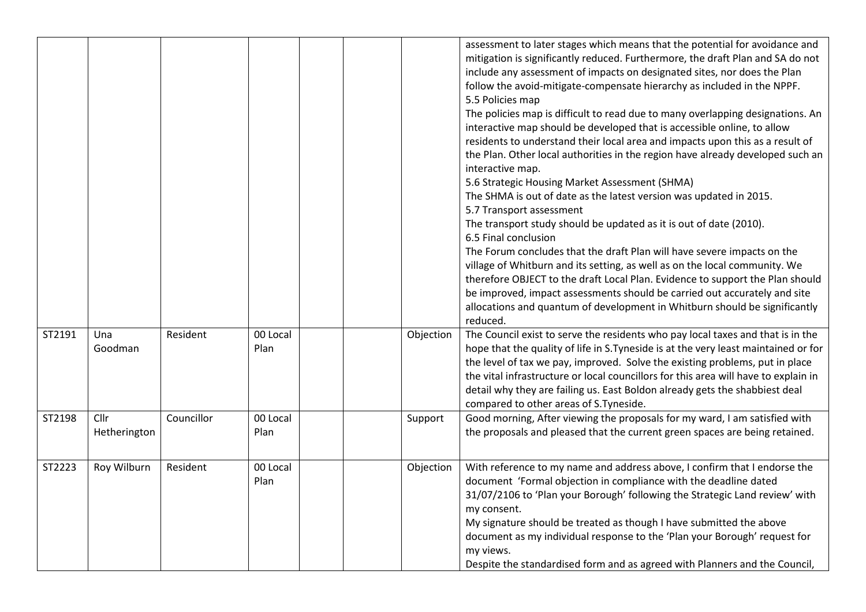|        |                      |            |                  |           | assessment to later stages which means that the potential for avoidance and<br>mitigation is significantly reduced. Furthermore, the draft Plan and SA do not<br>include any assessment of impacts on designated sites, nor does the Plan<br>follow the avoid-mitigate-compensate hierarchy as included in the NPPF.<br>5.5 Policies map<br>The policies map is difficult to read due to many overlapping designations. An<br>interactive map should be developed that is accessible online, to allow<br>residents to understand their local area and impacts upon this as a result of<br>the Plan. Other local authorities in the region have already developed such an<br>interactive map.<br>5.6 Strategic Housing Market Assessment (SHMA)<br>The SHMA is out of date as the latest version was updated in 2015.<br>5.7 Transport assessment<br>The transport study should be updated as it is out of date (2010).<br>6.5 Final conclusion<br>The Forum concludes that the draft Plan will have severe impacts on the<br>village of Whitburn and its setting, as well as on the local community. We<br>therefore OBJECT to the draft Local Plan. Evidence to support the Plan should<br>be improved, impact assessments should be carried out accurately and site<br>allocations and quantum of development in Whitburn should be significantly<br>reduced. |
|--------|----------------------|------------|------------------|-----------|-----------------------------------------------------------------------------------------------------------------------------------------------------------------------------------------------------------------------------------------------------------------------------------------------------------------------------------------------------------------------------------------------------------------------------------------------------------------------------------------------------------------------------------------------------------------------------------------------------------------------------------------------------------------------------------------------------------------------------------------------------------------------------------------------------------------------------------------------------------------------------------------------------------------------------------------------------------------------------------------------------------------------------------------------------------------------------------------------------------------------------------------------------------------------------------------------------------------------------------------------------------------------------------------------------------------------------------------------------------------|
| ST2191 | Una<br>Goodman       | Resident   | 00 Local<br>Plan | Objection | The Council exist to serve the residents who pay local taxes and that is in the<br>hope that the quality of life in S. Tyneside is at the very least maintained or for<br>the level of tax we pay, improved. Solve the existing problems, put in place<br>the vital infrastructure or local councillors for this area will have to explain in<br>detail why they are failing us. East Boldon already gets the shabbiest deal<br>compared to other areas of S. Tyneside.                                                                                                                                                                                                                                                                                                                                                                                                                                                                                                                                                                                                                                                                                                                                                                                                                                                                                         |
| ST2198 | Cllr<br>Hetherington | Councillor | 00 Local<br>Plan | Support   | Good morning, After viewing the proposals for my ward, I am satisfied with<br>the proposals and pleased that the current green spaces are being retained.                                                                                                                                                                                                                                                                                                                                                                                                                                                                                                                                                                                                                                                                                                                                                                                                                                                                                                                                                                                                                                                                                                                                                                                                       |
| ST2223 | Roy Wilburn          | Resident   | 00 Local<br>Plan | Objection | With reference to my name and address above, I confirm that I endorse the<br>document 'Formal objection in compliance with the deadline dated<br>31/07/2106 to 'Plan your Borough' following the Strategic Land review' with<br>my consent.<br>My signature should be treated as though I have submitted the above<br>document as my individual response to the 'Plan your Borough' request for<br>my views.<br>Despite the standardised form and as agreed with Planners and the Council,                                                                                                                                                                                                                                                                                                                                                                                                                                                                                                                                                                                                                                                                                                                                                                                                                                                                      |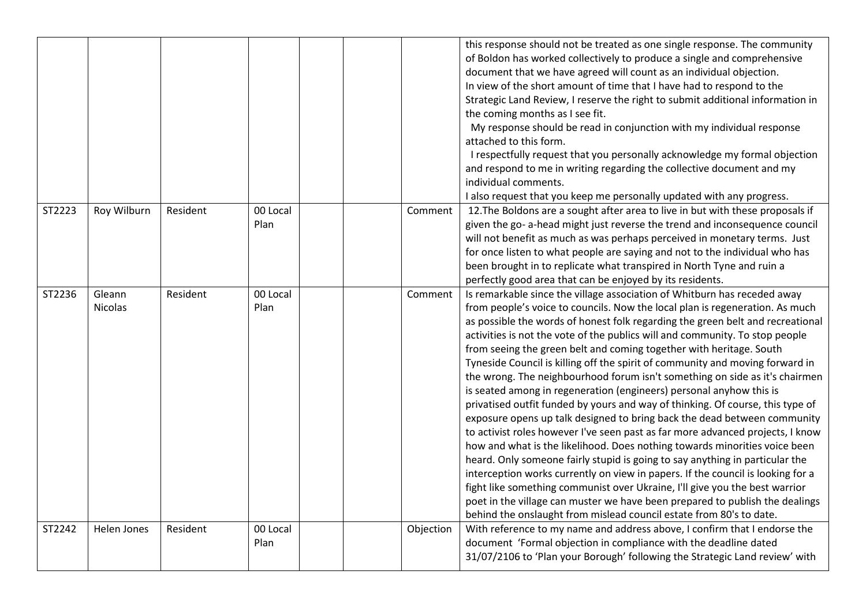|        |                          |          |                  |           | this response should not be treated as one single response. The community<br>of Boldon has worked collectively to produce a single and comprehensive<br>document that we have agreed will count as an individual objection.<br>In view of the short amount of time that I have had to respond to the<br>Strategic Land Review, I reserve the right to submit additional information in<br>the coming months as I see fit.<br>My response should be read in conjunction with my individual response<br>attached to this form.<br>I respectfully request that you personally acknowledge my formal objection<br>and respond to me in writing regarding the collective document and my<br>individual comments.<br>I also request that you keep me personally updated with any progress.                                                                                                                                                                                                                                                                                                                                                                                                                                                                                                                                                                                            |
|--------|--------------------------|----------|------------------|-----------|---------------------------------------------------------------------------------------------------------------------------------------------------------------------------------------------------------------------------------------------------------------------------------------------------------------------------------------------------------------------------------------------------------------------------------------------------------------------------------------------------------------------------------------------------------------------------------------------------------------------------------------------------------------------------------------------------------------------------------------------------------------------------------------------------------------------------------------------------------------------------------------------------------------------------------------------------------------------------------------------------------------------------------------------------------------------------------------------------------------------------------------------------------------------------------------------------------------------------------------------------------------------------------------------------------------------------------------------------------------------------------|
| ST2223 | Roy Wilburn              | Resident | 00 Local<br>Plan | Comment   | 12. The Boldons are a sought after area to live in but with these proposals if<br>given the go- a-head might just reverse the trend and inconsequence council<br>will not benefit as much as was perhaps perceived in monetary terms. Just<br>for once listen to what people are saying and not to the individual who has<br>been brought in to replicate what transpired in North Tyne and ruin a<br>perfectly good area that can be enjoyed by its residents.                                                                                                                                                                                                                                                                                                                                                                                                                                                                                                                                                                                                                                                                                                                                                                                                                                                                                                                 |
| ST2236 | Gleann<br><b>Nicolas</b> | Resident | 00 Local<br>Plan | Comment   | Is remarkable since the village association of Whitburn has receded away<br>from people's voice to councils. Now the local plan is regeneration. As much<br>as possible the words of honest folk regarding the green belt and recreational<br>activities is not the vote of the publics will and community. To stop people<br>from seeing the green belt and coming together with heritage. South<br>Tyneside Council is killing off the spirit of community and moving forward in<br>the wrong. The neighbourhood forum isn't something on side as it's chairmen<br>is seated among in regeneration (engineers) personal anyhow this is<br>privatised outfit funded by yours and way of thinking. Of course, this type of<br>exposure opens up talk designed to bring back the dead between community<br>to activist roles however I've seen past as far more advanced projects, I know<br>how and what is the likelihood. Does nothing towards minorities voice been<br>heard. Only someone fairly stupid is going to say anything in particular the<br>interception works currently on view in papers. If the council is looking for a<br>fight like something communist over Ukraine, I'll give you the best warrior<br>poet in the village can muster we have been prepared to publish the dealings<br>behind the onslaught from mislead council estate from 80's to date. |
| ST2242 | Helen Jones              | Resident | 00 Local<br>Plan | Objection | With reference to my name and address above, I confirm that I endorse the<br>document 'Formal objection in compliance with the deadline dated<br>31/07/2106 to 'Plan your Borough' following the Strategic Land review' with                                                                                                                                                                                                                                                                                                                                                                                                                                                                                                                                                                                                                                                                                                                                                                                                                                                                                                                                                                                                                                                                                                                                                    |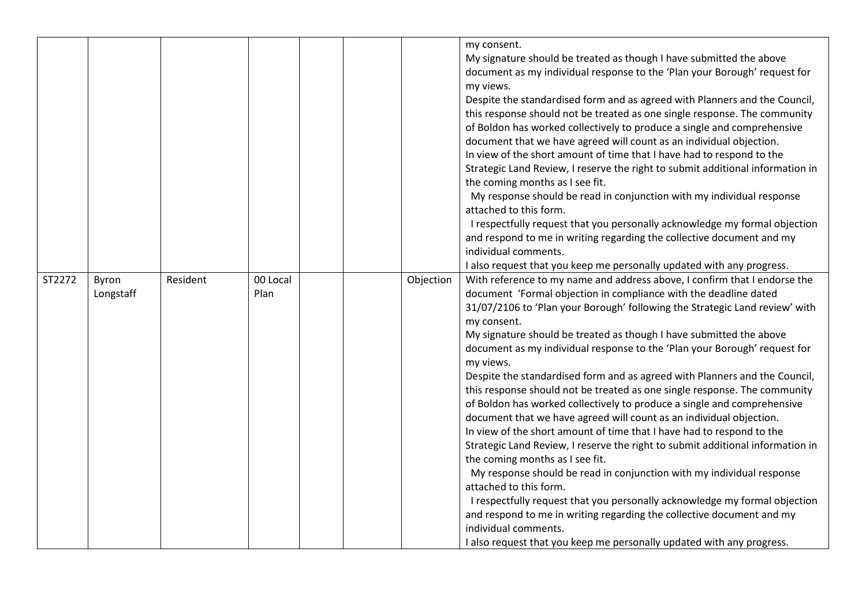|        |                    |          |                  |           | my consent.<br>My signature should be treated as though I have submitted the above<br>document as my individual response to the 'Plan your Borough' request for<br>my views.<br>Despite the standardised form and as agreed with Planners and the Council,<br>this response should not be treated as one single response. The community<br>of Boldon has worked collectively to produce a single and comprehensive<br>document that we have agreed will count as an individual objection.<br>In view of the short amount of time that I have had to respond to the<br>Strategic Land Review, I reserve the right to submit additional information in<br>the coming months as I see fit.<br>My response should be read in conjunction with my individual response<br>attached to this form.<br>I respectfully request that you personally acknowledge my formal objection<br>and respond to me in writing regarding the collective document and my<br>individual comments.<br>I also request that you keep me personally updated with any progress.                                                                                                                                                                                                                                 |
|--------|--------------------|----------|------------------|-----------|------------------------------------------------------------------------------------------------------------------------------------------------------------------------------------------------------------------------------------------------------------------------------------------------------------------------------------------------------------------------------------------------------------------------------------------------------------------------------------------------------------------------------------------------------------------------------------------------------------------------------------------------------------------------------------------------------------------------------------------------------------------------------------------------------------------------------------------------------------------------------------------------------------------------------------------------------------------------------------------------------------------------------------------------------------------------------------------------------------------------------------------------------------------------------------------------------------------------------------------------------------------------------------|
| ST2272 | Byron<br>Longstaff | Resident | 00 Local<br>Plan | Objection | With reference to my name and address above, I confirm that I endorse the<br>document 'Formal objection in compliance with the deadline dated<br>31/07/2106 to 'Plan your Borough' following the Strategic Land review' with<br>my consent.<br>My signature should be treated as though I have submitted the above<br>document as my individual response to the 'Plan your Borough' request for<br>my views.<br>Despite the standardised form and as agreed with Planners and the Council,<br>this response should not be treated as one single response. The community<br>of Boldon has worked collectively to produce a single and comprehensive<br>document that we have agreed will count as an individual objection.<br>In view of the short amount of time that I have had to respond to the<br>Strategic Land Review, I reserve the right to submit additional information in<br>the coming months as I see fit.<br>My response should be read in conjunction with my individual response<br>attached to this form.<br>I respectfully request that you personally acknowledge my formal objection<br>and respond to me in writing regarding the collective document and my<br>individual comments.<br>I also request that you keep me personally updated with any progress. |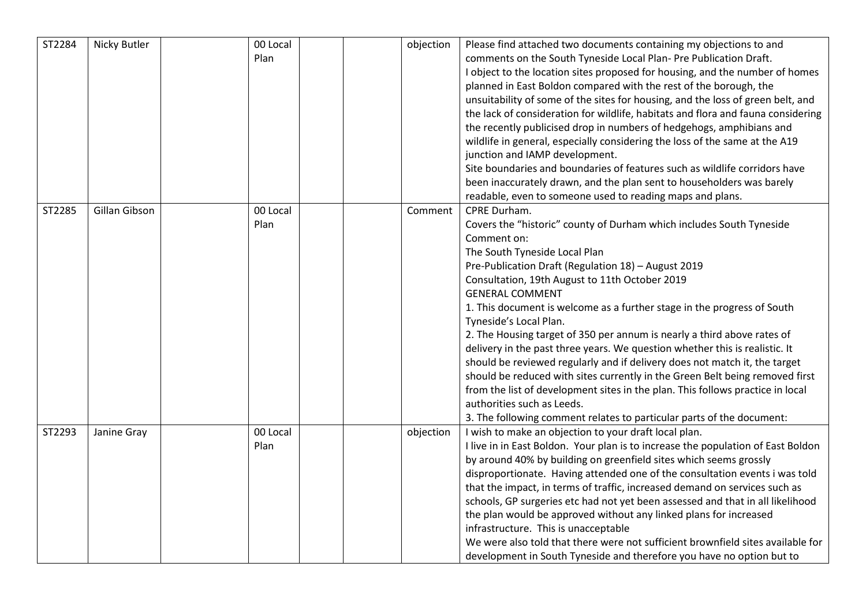| ST2284 | Nicky Butler  | 00 Local<br>Plan | objection | Please find attached two documents containing my objections to and<br>comments on the South Tyneside Local Plan- Pre Publication Draft.<br>I object to the location sites proposed for housing, and the number of homes<br>planned in East Boldon compared with the rest of the borough, the<br>unsuitability of some of the sites for housing, and the loss of green belt, and<br>the lack of consideration for wildlife, habitats and flora and fauna considering<br>the recently publicised drop in numbers of hedgehogs, amphibians and<br>wildlife in general, especially considering the loss of the same at the A19<br>junction and IAMP development.<br>Site boundaries and boundaries of features such as wildlife corridors have<br>been inaccurately drawn, and the plan sent to householders was barely<br>readable, even to someone used to reading maps and plans.              |
|--------|---------------|------------------|-----------|-----------------------------------------------------------------------------------------------------------------------------------------------------------------------------------------------------------------------------------------------------------------------------------------------------------------------------------------------------------------------------------------------------------------------------------------------------------------------------------------------------------------------------------------------------------------------------------------------------------------------------------------------------------------------------------------------------------------------------------------------------------------------------------------------------------------------------------------------------------------------------------------------|
| ST2285 | Gillan Gibson | 00 Local<br>Plan | Comment   | CPRE Durham.<br>Covers the "historic" county of Durham which includes South Tyneside<br>Comment on:<br>The South Tyneside Local Plan<br>Pre-Publication Draft (Regulation 18) - August 2019<br>Consultation, 19th August to 11th October 2019<br><b>GENERAL COMMENT</b><br>1. This document is welcome as a further stage in the progress of South<br>Tyneside's Local Plan.<br>2. The Housing target of 350 per annum is nearly a third above rates of<br>delivery in the past three years. We question whether this is realistic. It<br>should be reviewed regularly and if delivery does not match it, the target<br>should be reduced with sites currently in the Green Belt being removed first<br>from the list of development sites in the plan. This follows practice in local<br>authorities such as Leeds.<br>3. The following comment relates to particular parts of the document: |
| ST2293 | Janine Gray   | 00 Local<br>Plan | objection | I wish to make an objection to your draft local plan.<br>I live in in East Boldon. Your plan is to increase the population of East Boldon<br>by around 40% by building on greenfield sites which seems grossly<br>disproportionate. Having attended one of the consultation events i was told<br>that the impact, in terms of traffic, increased demand on services such as<br>schools, GP surgeries etc had not yet been assessed and that in all likelihood<br>the plan would be approved without any linked plans for increased<br>infrastructure. This is unacceptable<br>We were also told that there were not sufficient brownfield sites available for<br>development in South Tyneside and therefore you have no option but to                                                                                                                                                        |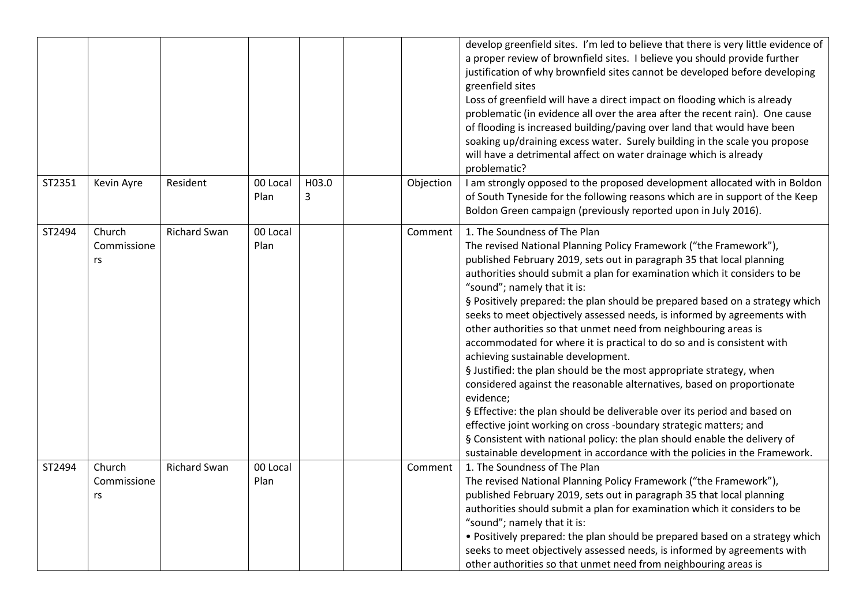|        |                             |                     |                  |            |           | develop greenfield sites. I'm led to believe that there is very little evidence of<br>a proper review of brownfield sites. I believe you should provide further<br>justification of why brownfield sites cannot be developed before developing<br>greenfield sites<br>Loss of greenfield will have a direct impact on flooding which is already<br>problematic (in evidence all over the area after the recent rain). One cause<br>of flooding is increased building/paving over land that would have been<br>soaking up/draining excess water. Surely building in the scale you propose<br>will have a detrimental affect on water drainage which is already<br>problematic?                                                                                                                                                                                                                                                                                                                                                                                                                                  |
|--------|-----------------------------|---------------------|------------------|------------|-----------|----------------------------------------------------------------------------------------------------------------------------------------------------------------------------------------------------------------------------------------------------------------------------------------------------------------------------------------------------------------------------------------------------------------------------------------------------------------------------------------------------------------------------------------------------------------------------------------------------------------------------------------------------------------------------------------------------------------------------------------------------------------------------------------------------------------------------------------------------------------------------------------------------------------------------------------------------------------------------------------------------------------------------------------------------------------------------------------------------------------|
| ST2351 | Kevin Ayre                  | Resident            | 00 Local<br>Plan | H03.0<br>3 | Objection | I am strongly opposed to the proposed development allocated with in Boldon<br>of South Tyneside for the following reasons which are in support of the Keep<br>Boldon Green campaign (previously reported upon in July 2016).                                                                                                                                                                                                                                                                                                                                                                                                                                                                                                                                                                                                                                                                                                                                                                                                                                                                                   |
| ST2494 | Church<br>Commissione<br>rs | <b>Richard Swan</b> | 00 Local<br>Plan |            | Comment   | 1. The Soundness of The Plan<br>The revised National Planning Policy Framework ("the Framework"),<br>published February 2019, sets out in paragraph 35 that local planning<br>authorities should submit a plan for examination which it considers to be<br>"sound"; namely that it is:<br>§ Positively prepared: the plan should be prepared based on a strategy which<br>seeks to meet objectively assessed needs, is informed by agreements with<br>other authorities so that unmet need from neighbouring areas is<br>accommodated for where it is practical to do so and is consistent with<br>achieving sustainable development.<br>§ Justified: the plan should be the most appropriate strategy, when<br>considered against the reasonable alternatives, based on proportionate<br>evidence;<br>§ Effective: the plan should be deliverable over its period and based on<br>effective joint working on cross -boundary strategic matters; and<br>§ Consistent with national policy: the plan should enable the delivery of<br>sustainable development in accordance with the policies in the Framework. |
| ST2494 | Church<br>Commissione<br>rs | <b>Richard Swan</b> | 00 Local<br>Plan |            | Comment   | 1. The Soundness of The Plan<br>The revised National Planning Policy Framework ("the Framework"),<br>published February 2019, sets out in paragraph 35 that local planning<br>authorities should submit a plan for examination which it considers to be<br>"sound"; namely that it is:<br>• Positively prepared: the plan should be prepared based on a strategy which<br>seeks to meet objectively assessed needs, is informed by agreements with<br>other authorities so that unmet need from neighbouring areas is                                                                                                                                                                                                                                                                                                                                                                                                                                                                                                                                                                                          |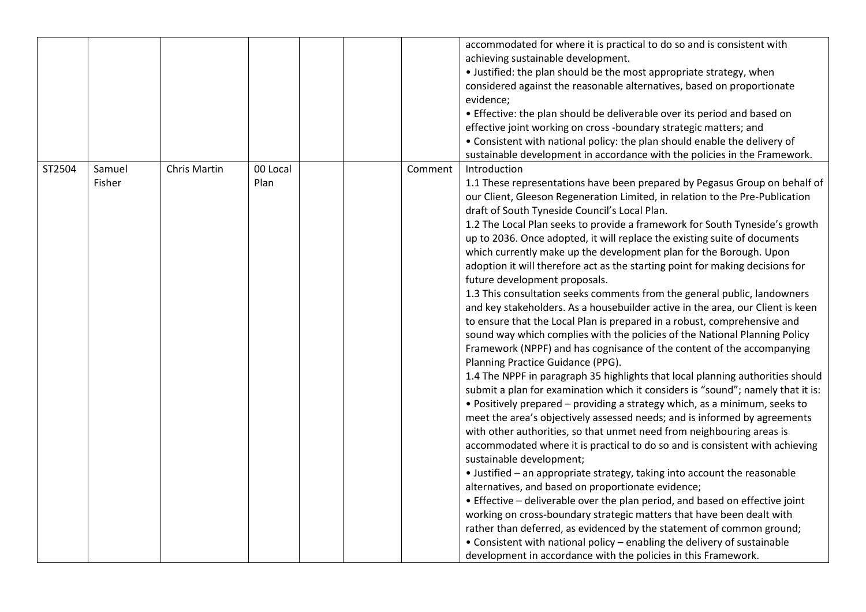|        |                  |                     |                  |         | accommodated for where it is practical to do so and is consistent with<br>achieving sustainable development.<br>• Justified: the plan should be the most appropriate strategy, when<br>considered against the reasonable alternatives, based on proportionate<br>evidence;<br>• Effective: the plan should be deliverable over its period and based on<br>effective joint working on cross -boundary strategic matters; and<br>• Consistent with national policy: the plan should enable the delivery of<br>sustainable development in accordance with the policies in the Framework.                                                                                                                                                                                                                                                                                                                                                                                                                                                                                                                                                                                                                                                                                                                                                                                                                                                                                                                                                                                                                                                                                                                                                                                                                                                                                                                                                                                                                                                                          |
|--------|------------------|---------------------|------------------|---------|----------------------------------------------------------------------------------------------------------------------------------------------------------------------------------------------------------------------------------------------------------------------------------------------------------------------------------------------------------------------------------------------------------------------------------------------------------------------------------------------------------------------------------------------------------------------------------------------------------------------------------------------------------------------------------------------------------------------------------------------------------------------------------------------------------------------------------------------------------------------------------------------------------------------------------------------------------------------------------------------------------------------------------------------------------------------------------------------------------------------------------------------------------------------------------------------------------------------------------------------------------------------------------------------------------------------------------------------------------------------------------------------------------------------------------------------------------------------------------------------------------------------------------------------------------------------------------------------------------------------------------------------------------------------------------------------------------------------------------------------------------------------------------------------------------------------------------------------------------------------------------------------------------------------------------------------------------------------------------------------------------------------------------------------------------------|
| ST2504 | Samuel<br>Fisher | <b>Chris Martin</b> | 00 Local<br>Plan | Comment | Introduction<br>1.1 These representations have been prepared by Pegasus Group on behalf of<br>our Client, Gleeson Regeneration Limited, in relation to the Pre-Publication<br>draft of South Tyneside Council's Local Plan.<br>1.2 The Local Plan seeks to provide a framework for South Tyneside's growth<br>up to 2036. Once adopted, it will replace the existing suite of documents<br>which currently make up the development plan for the Borough. Upon<br>adoption it will therefore act as the starting point for making decisions for<br>future development proposals.<br>1.3 This consultation seeks comments from the general public, landowners<br>and key stakeholders. As a housebuilder active in the area, our Client is keen<br>to ensure that the Local Plan is prepared in a robust, comprehensive and<br>sound way which complies with the policies of the National Planning Policy<br>Framework (NPPF) and has cognisance of the content of the accompanying<br>Planning Practice Guidance (PPG).<br>1.4 The NPPF in paragraph 35 highlights that local planning authorities should<br>submit a plan for examination which it considers is "sound"; namely that it is:<br>• Positively prepared - providing a strategy which, as a minimum, seeks to<br>meet the area's objectively assessed needs; and is informed by agreements<br>with other authorities, so that unmet need from neighbouring areas is<br>accommodated where it is practical to do so and is consistent with achieving<br>sustainable development;<br>• Justified - an appropriate strategy, taking into account the reasonable<br>alternatives, and based on proportionate evidence;<br>• Effective - deliverable over the plan period, and based on effective joint<br>working on cross-boundary strategic matters that have been dealt with<br>rather than deferred, as evidenced by the statement of common ground;<br>• Consistent with national policy - enabling the delivery of sustainable<br>development in accordance with the policies in this Framework. |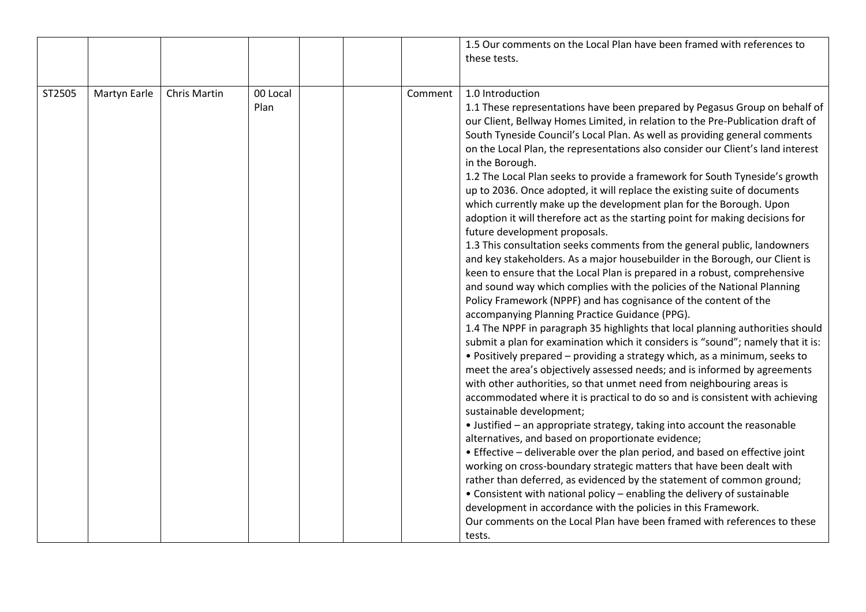|        |              |                     |                  |         | 1.5 Our comments on the Local Plan have been framed with references to<br>these tests.                                                                                                                                                                                                                                                                                                                                                                                                                                                                                                                                                                                                                                                                                                                                                                                                                                                                                                                                                                                                                                                                                                                                                                                                                                                                                                                                                                                                                                                                                                                                                                                                                                                                                                                                                                                                                                                                                                                                                                                                                                                                                                                                                                                                          |
|--------|--------------|---------------------|------------------|---------|-------------------------------------------------------------------------------------------------------------------------------------------------------------------------------------------------------------------------------------------------------------------------------------------------------------------------------------------------------------------------------------------------------------------------------------------------------------------------------------------------------------------------------------------------------------------------------------------------------------------------------------------------------------------------------------------------------------------------------------------------------------------------------------------------------------------------------------------------------------------------------------------------------------------------------------------------------------------------------------------------------------------------------------------------------------------------------------------------------------------------------------------------------------------------------------------------------------------------------------------------------------------------------------------------------------------------------------------------------------------------------------------------------------------------------------------------------------------------------------------------------------------------------------------------------------------------------------------------------------------------------------------------------------------------------------------------------------------------------------------------------------------------------------------------------------------------------------------------------------------------------------------------------------------------------------------------------------------------------------------------------------------------------------------------------------------------------------------------------------------------------------------------------------------------------------------------------------------------------------------------------------------------------------------------|
| ST2505 | Martyn Earle | <b>Chris Martin</b> | 00 Local<br>Plan | Comment | 1.0 Introduction<br>1.1 These representations have been prepared by Pegasus Group on behalf of<br>our Client, Bellway Homes Limited, in relation to the Pre-Publication draft of<br>South Tyneside Council's Local Plan. As well as providing general comments<br>on the Local Plan, the representations also consider our Client's land interest<br>in the Borough.<br>1.2 The Local Plan seeks to provide a framework for South Tyneside's growth<br>up to 2036. Once adopted, it will replace the existing suite of documents<br>which currently make up the development plan for the Borough. Upon<br>adoption it will therefore act as the starting point for making decisions for<br>future development proposals.<br>1.3 This consultation seeks comments from the general public, landowners<br>and key stakeholders. As a major housebuilder in the Borough, our Client is<br>keen to ensure that the Local Plan is prepared in a robust, comprehensive<br>and sound way which complies with the policies of the National Planning<br>Policy Framework (NPPF) and has cognisance of the content of the<br>accompanying Planning Practice Guidance (PPG).<br>1.4 The NPPF in paragraph 35 highlights that local planning authorities should<br>submit a plan for examination which it considers is "sound"; namely that it is:<br>• Positively prepared – providing a strategy which, as a minimum, seeks to<br>meet the area's objectively assessed needs; and is informed by agreements<br>with other authorities, so that unmet need from neighbouring areas is<br>accommodated where it is practical to do so and is consistent with achieving<br>sustainable development;<br>• Justified - an appropriate strategy, taking into account the reasonable<br>alternatives, and based on proportionate evidence;<br>• Effective - deliverable over the plan period, and based on effective joint<br>working on cross-boundary strategic matters that have been dealt with<br>rather than deferred, as evidenced by the statement of common ground;<br>• Consistent with national policy - enabling the delivery of sustainable<br>development in accordance with the policies in this Framework.<br>Our comments on the Local Plan have been framed with references to these<br>tests. |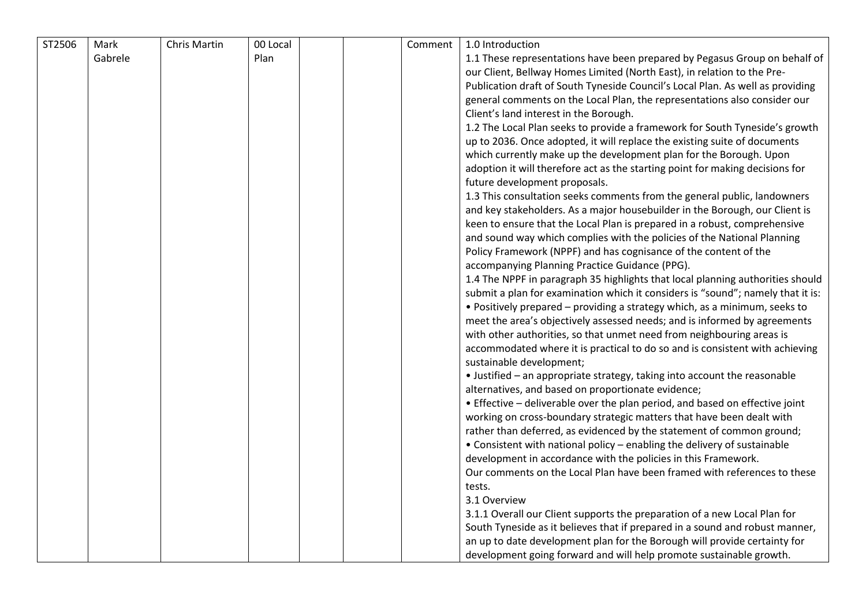| ST2506 | Mark    | Chris Martin | 00 Local | Comment | 1.0 Introduction                                                                |
|--------|---------|--------------|----------|---------|---------------------------------------------------------------------------------|
|        | Gabrele |              | Plan     |         | 1.1 These representations have been prepared by Pegasus Group on behalf of      |
|        |         |              |          |         | our Client, Bellway Homes Limited (North East), in relation to the Pre-         |
|        |         |              |          |         | Publication draft of South Tyneside Council's Local Plan. As well as providing  |
|        |         |              |          |         | general comments on the Local Plan, the representations also consider our       |
|        |         |              |          |         | Client's land interest in the Borough.                                          |
|        |         |              |          |         | 1.2 The Local Plan seeks to provide a framework for South Tyneside's growth     |
|        |         |              |          |         | up to 2036. Once adopted, it will replace the existing suite of documents       |
|        |         |              |          |         | which currently make up the development plan for the Borough. Upon              |
|        |         |              |          |         | adoption it will therefore act as the starting point for making decisions for   |
|        |         |              |          |         | future development proposals.                                                   |
|        |         |              |          |         | 1.3 This consultation seeks comments from the general public, landowners        |
|        |         |              |          |         | and key stakeholders. As a major housebuilder in the Borough, our Client is     |
|        |         |              |          |         | keen to ensure that the Local Plan is prepared in a robust, comprehensive       |
|        |         |              |          |         | and sound way which complies with the policies of the National Planning         |
|        |         |              |          |         | Policy Framework (NPPF) and has cognisance of the content of the                |
|        |         |              |          |         | accompanying Planning Practice Guidance (PPG).                                  |
|        |         |              |          |         | 1.4 The NPPF in paragraph 35 highlights that local planning authorities should  |
|        |         |              |          |         | submit a plan for examination which it considers is "sound"; namely that it is: |
|        |         |              |          |         | • Positively prepared – providing a strategy which, as a minimum, seeks to      |
|        |         |              |          |         | meet the area's objectively assessed needs; and is informed by agreements       |
|        |         |              |          |         | with other authorities, so that unmet need from neighbouring areas is           |
|        |         |              |          |         | accommodated where it is practical to do so and is consistent with achieving    |
|        |         |              |          |         | sustainable development;                                                        |
|        |         |              |          |         | • Justified - an appropriate strategy, taking into account the reasonable       |
|        |         |              |          |         | alternatives, and based on proportionate evidence;                              |
|        |         |              |          |         | • Effective – deliverable over the plan period, and based on effective joint    |
|        |         |              |          |         | working on cross-boundary strategic matters that have been dealt with           |
|        |         |              |          |         | rather than deferred, as evidenced by the statement of common ground;           |
|        |         |              |          |         | • Consistent with national policy - enabling the delivery of sustainable        |
|        |         |              |          |         | development in accordance with the policies in this Framework.                  |
|        |         |              |          |         | Our comments on the Local Plan have been framed with references to these        |
|        |         |              |          |         | tests.                                                                          |
|        |         |              |          |         | 3.1 Overview                                                                    |
|        |         |              |          |         | 3.1.1 Overall our Client supports the preparation of a new Local Plan for       |
|        |         |              |          |         | South Tyneside as it believes that if prepared in a sound and robust manner,    |
|        |         |              |          |         | an up to date development plan for the Borough will provide certainty for       |
|        |         |              |          |         | development going forward and will help promote sustainable growth.             |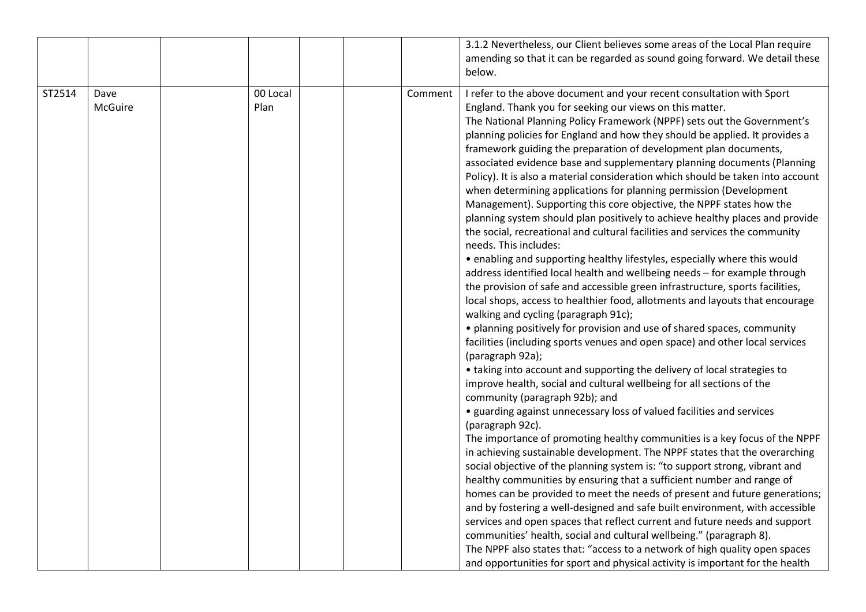|        |                 |                  |         | 3.1.2 Nevertheless, our Client believes some areas of the Local Plan require<br>amending so that it can be regarded as sound going forward. We detail these<br>below.                                                                                                                                                                                                                                                                                                                                                                                                                                                                                                                                                                                                                                                                                                                                                                                                                                                                                                                                                                                                                                                                                                                                                                                                                                                                                                                                                                                                                                                                                                                                                                                                                                                                                                                                                                                                                                                                                                                                                                                                                                                                                                                                                                                                                                                           |
|--------|-----------------|------------------|---------|---------------------------------------------------------------------------------------------------------------------------------------------------------------------------------------------------------------------------------------------------------------------------------------------------------------------------------------------------------------------------------------------------------------------------------------------------------------------------------------------------------------------------------------------------------------------------------------------------------------------------------------------------------------------------------------------------------------------------------------------------------------------------------------------------------------------------------------------------------------------------------------------------------------------------------------------------------------------------------------------------------------------------------------------------------------------------------------------------------------------------------------------------------------------------------------------------------------------------------------------------------------------------------------------------------------------------------------------------------------------------------------------------------------------------------------------------------------------------------------------------------------------------------------------------------------------------------------------------------------------------------------------------------------------------------------------------------------------------------------------------------------------------------------------------------------------------------------------------------------------------------------------------------------------------------------------------------------------------------------------------------------------------------------------------------------------------------------------------------------------------------------------------------------------------------------------------------------------------------------------------------------------------------------------------------------------------------------------------------------------------------------------------------------------------------|
| ST2514 | Dave<br>McGuire | 00 Local<br>Plan | Comment | I refer to the above document and your recent consultation with Sport<br>England. Thank you for seeking our views on this matter.<br>The National Planning Policy Framework (NPPF) sets out the Government's<br>planning policies for England and how they should be applied. It provides a<br>framework guiding the preparation of development plan documents,<br>associated evidence base and supplementary planning documents (Planning<br>Policy). It is also a material consideration which should be taken into account<br>when determining applications for planning permission (Development<br>Management). Supporting this core objective, the NPPF states how the<br>planning system should plan positively to achieve healthy places and provide<br>the social, recreational and cultural facilities and services the community<br>needs. This includes:<br>• enabling and supporting healthy lifestyles, especially where this would<br>address identified local health and wellbeing needs - for example through<br>the provision of safe and accessible green infrastructure, sports facilities,<br>local shops, access to healthier food, allotments and layouts that encourage<br>walking and cycling (paragraph 91c);<br>• planning positively for provision and use of shared spaces, community<br>facilities (including sports venues and open space) and other local services<br>(paragraph 92a);<br>• taking into account and supporting the delivery of local strategies to<br>improve health, social and cultural wellbeing for all sections of the<br>community (paragraph 92b); and<br>• guarding against unnecessary loss of valued facilities and services<br>(paragraph 92c).<br>The importance of promoting healthy communities is a key focus of the NPPF<br>in achieving sustainable development. The NPPF states that the overarching<br>social objective of the planning system is: "to support strong, vibrant and<br>healthy communities by ensuring that a sufficient number and range of<br>homes can be provided to meet the needs of present and future generations;<br>and by fostering a well-designed and safe built environment, with accessible<br>services and open spaces that reflect current and future needs and support<br>communities' health, social and cultural wellbeing." (paragraph 8).<br>The NPPF also states that: "access to a network of high quality open spaces |
|        |                 |                  |         | and opportunities for sport and physical activity is important for the health                                                                                                                                                                                                                                                                                                                                                                                                                                                                                                                                                                                                                                                                                                                                                                                                                                                                                                                                                                                                                                                                                                                                                                                                                                                                                                                                                                                                                                                                                                                                                                                                                                                                                                                                                                                                                                                                                                                                                                                                                                                                                                                                                                                                                                                                                                                                                   |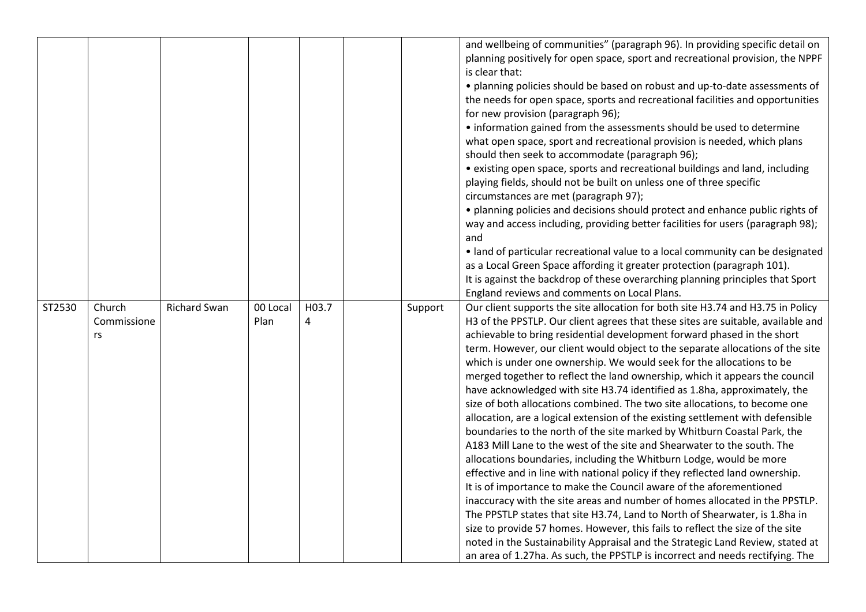|        |                       |                     |                  |            |         | and wellbeing of communities" (paragraph 96). In providing specific detail on                                                                                       |
|--------|-----------------------|---------------------|------------------|------------|---------|---------------------------------------------------------------------------------------------------------------------------------------------------------------------|
|        |                       |                     |                  |            |         | planning positively for open space, sport and recreational provision, the NPPF                                                                                      |
|        |                       |                     |                  |            |         | is clear that:<br>• planning policies should be based on robust and up-to-date assessments of                                                                       |
|        |                       |                     |                  |            |         |                                                                                                                                                                     |
|        |                       |                     |                  |            |         | the needs for open space, sports and recreational facilities and opportunities<br>for new provision (paragraph 96);                                                 |
|        |                       |                     |                  |            |         | • information gained from the assessments should be used to determine                                                                                               |
|        |                       |                     |                  |            |         | what open space, sport and recreational provision is needed, which plans                                                                                            |
|        |                       |                     |                  |            |         | should then seek to accommodate (paragraph 96);                                                                                                                     |
|        |                       |                     |                  |            |         | • existing open space, sports and recreational buildings and land, including                                                                                        |
|        |                       |                     |                  |            |         | playing fields, should not be built on unless one of three specific                                                                                                 |
|        |                       |                     |                  |            |         | circumstances are met (paragraph 97);                                                                                                                               |
|        |                       |                     |                  |            |         | · planning policies and decisions should protect and enhance public rights of                                                                                       |
|        |                       |                     |                  |            |         | way and access including, providing better facilities for users (paragraph 98);                                                                                     |
|        |                       |                     |                  |            |         | and                                                                                                                                                                 |
|        |                       |                     |                  |            |         | · land of particular recreational value to a local community can be designated                                                                                      |
|        |                       |                     |                  |            |         | as a Local Green Space affording it greater protection (paragraph 101).                                                                                             |
|        |                       |                     |                  |            |         | It is against the backdrop of these overarching planning principles that Sport                                                                                      |
|        |                       |                     |                  |            |         | England reviews and comments on Local Plans.                                                                                                                        |
| ST2530 | Church<br>Commissione | <b>Richard Swan</b> | 00 Local<br>Plan | H03.7<br>4 | Support | Our client supports the site allocation for both site H3.74 and H3.75 in Policy<br>H3 of the PPSTLP. Our client agrees that these sites are suitable, available and |
|        | rs                    |                     |                  |            |         | achievable to bring residential development forward phased in the short                                                                                             |
|        |                       |                     |                  |            |         | term. However, our client would object to the separate allocations of the site                                                                                      |
|        |                       |                     |                  |            |         | which is under one ownership. We would seek for the allocations to be                                                                                               |
|        |                       |                     |                  |            |         | merged together to reflect the land ownership, which it appears the council                                                                                         |
|        |                       |                     |                  |            |         | have acknowledged with site H3.74 identified as 1.8ha, approximately, the                                                                                           |
|        |                       |                     |                  |            |         | size of both allocations combined. The two site allocations, to become one                                                                                          |
|        |                       |                     |                  |            |         | allocation, are a logical extension of the existing settlement with defensible                                                                                      |
|        |                       |                     |                  |            |         | boundaries to the north of the site marked by Whitburn Coastal Park, the                                                                                            |
|        |                       |                     |                  |            |         | A183 Mill Lane to the west of the site and Shearwater to the south. The                                                                                             |
|        |                       |                     |                  |            |         | allocations boundaries, including the Whitburn Lodge, would be more                                                                                                 |
|        |                       |                     |                  |            |         | effective and in line with national policy if they reflected land ownership.                                                                                        |
|        |                       |                     |                  |            |         | It is of importance to make the Council aware of the aforementioned                                                                                                 |
|        |                       |                     |                  |            |         | inaccuracy with the site areas and number of homes allocated in the PPSTLP.                                                                                         |
|        |                       |                     |                  |            |         | The PPSTLP states that site H3.74, Land to North of Shearwater, is 1.8ha in                                                                                         |
|        |                       |                     |                  |            |         | size to provide 57 homes. However, this fails to reflect the size of the site                                                                                       |
|        |                       |                     |                  |            |         | noted in the Sustainability Appraisal and the Strategic Land Review, stated at                                                                                      |
|        |                       |                     |                  |            |         | an area of 1.27ha. As such, the PPSTLP is incorrect and needs rectifying. The                                                                                       |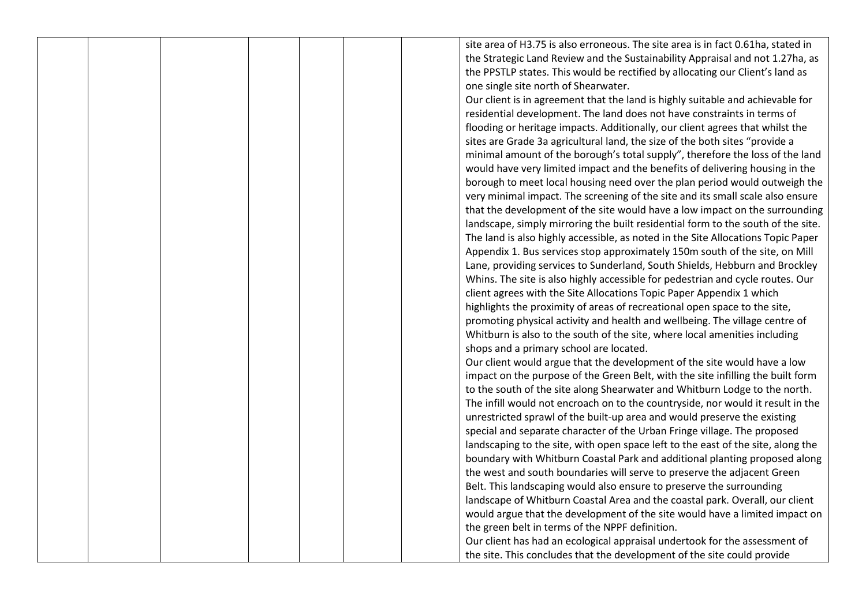site area of H3.75 is also erroneous. The site area is in fact 0.61ha, stated in the Strategic Land Review and the Sustainability Appraisal and not 1.27ha, as the PPSTLP states. This would be rectified by allocating our Client's land as one single site north of Shearwater.

Our client is in agreement that the land is highly suitable and achievable for residential development. The land does not have constraints in terms of flooding or heritage impacts. Additionally, our client agrees that whilst the sites are Grade 3a agricultural land, the size of the both sites "provide a minimal amount of the borough's total supply", therefore the loss of the land would have very limited impact and the benefits of delivering housing in the borough to meet local housing need over the plan period would outweigh the very minimal impact. The screening of the site and its small scale also ensure that the development of the site would have a low impact on the surrounding landscape, simply mirroring the built residential form to the south of the site. The land is also highly accessible, as noted in the Site Allocations Topic Paper Appendix 1. Bus services stop approximately 150m south of the site, on Mill Lane, providing services to Sunderland, South Shields, Hebburn and Brockley Whins. The site is also highly accessible for pedestrian and cycle routes. Our client agrees with the Site Allocations Topic Paper Appendix 1 which highlights the proximity of areas of recreational open space to the site, promoting physical activity and health and wellbeing. The village centre of Whitburn is also to the south of the site, where local amenities including shops and a primary school are located.

Our client would argue that the development of the site would have a low impact on the purpose of the Green Belt, with the site infilling the built form to the south of the site along Shearwater and Whitburn Lodge to the north. The infill would not encroach on to the countryside, nor would it result in the unrestricted sprawl of the built-up area and would preserve the existing special and separate character of the Urban Fringe village. The proposed landscaping to the site, with open space left to the east of the site, along the boundary with Whitburn Coastal Park and additional planting proposed along the west and south boundaries will serve to preserve the adjacent Green Belt. This landscaping would also ensure to preserve the surrounding landscape of Whitburn Coastal Area and the coastal park. Overall, our client would argue that the development of the site would have a limited impact on the green belt in terms of the NPPF definition.

Our client has had an ecological appraisal undertook for the assessment of the site. This concludes that the development of the site could provide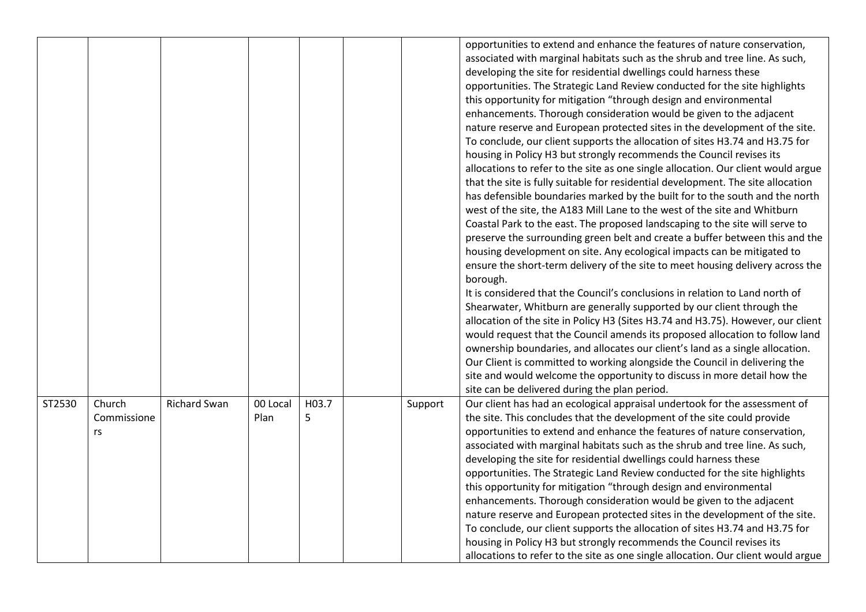|        |                             |                     |                  |            |         | opportunities to extend and enhance the features of nature conservation,<br>associated with marginal habitats such as the shrub and tree line. As such,<br>developing the site for residential dwellings could harness these<br>opportunities. The Strategic Land Review conducted for the site highlights<br>this opportunity for mitigation "through design and environmental<br>enhancements. Thorough consideration would be given to the adjacent<br>nature reserve and European protected sites in the development of the site.<br>To conclude, our client supports the allocation of sites H3.74 and H3.75 for<br>housing in Policy H3 but strongly recommends the Council revises its<br>allocations to refer to the site as one single allocation. Our client would argue<br>that the site is fully suitable for residential development. The site allocation<br>has defensible boundaries marked by the built for to the south and the north<br>west of the site, the A183 Mill Lane to the west of the site and Whitburn<br>Coastal Park to the east. The proposed landscaping to the site will serve to<br>preserve the surrounding green belt and create a buffer between this and the<br>housing development on site. Any ecological impacts can be mitigated to<br>ensure the short-term delivery of the site to meet housing delivery across the<br>borough.<br>It is considered that the Council's conclusions in relation to Land north of<br>Shearwater, Whitburn are generally supported by our client through the<br>allocation of the site in Policy H3 (Sites H3.74 and H3.75). However, our client<br>would request that the Council amends its proposed allocation to follow land<br>ownership boundaries, and allocates our client's land as a single allocation.<br>Our Client is committed to working alongside the Council in delivering the<br>site and would welcome the opportunity to discuss in more detail how the<br>site can be delivered during the plan period. |
|--------|-----------------------------|---------------------|------------------|------------|---------|--------------------------------------------------------------------------------------------------------------------------------------------------------------------------------------------------------------------------------------------------------------------------------------------------------------------------------------------------------------------------------------------------------------------------------------------------------------------------------------------------------------------------------------------------------------------------------------------------------------------------------------------------------------------------------------------------------------------------------------------------------------------------------------------------------------------------------------------------------------------------------------------------------------------------------------------------------------------------------------------------------------------------------------------------------------------------------------------------------------------------------------------------------------------------------------------------------------------------------------------------------------------------------------------------------------------------------------------------------------------------------------------------------------------------------------------------------------------------------------------------------------------------------------------------------------------------------------------------------------------------------------------------------------------------------------------------------------------------------------------------------------------------------------------------------------------------------------------------------------------------------------------------------------------------------------------------------------------------------------------------------|
| ST2530 | Church<br>Commissione<br>rs | <b>Richard Swan</b> | 00 Local<br>Plan | H03.7<br>5 | Support | Our client has had an ecological appraisal undertook for the assessment of<br>the site. This concludes that the development of the site could provide<br>opportunities to extend and enhance the features of nature conservation,<br>associated with marginal habitats such as the shrub and tree line. As such,<br>developing the site for residential dwellings could harness these<br>opportunities. The Strategic Land Review conducted for the site highlights<br>this opportunity for mitigation "through design and environmental<br>enhancements. Thorough consideration would be given to the adjacent<br>nature reserve and European protected sites in the development of the site.<br>To conclude, our client supports the allocation of sites H3.74 and H3.75 for<br>housing in Policy H3 but strongly recommends the Council revises its<br>allocations to refer to the site as one single allocation. Our client would argue                                                                                                                                                                                                                                                                                                                                                                                                                                                                                                                                                                                                                                                                                                                                                                                                                                                                                                                                                                                                                                                            |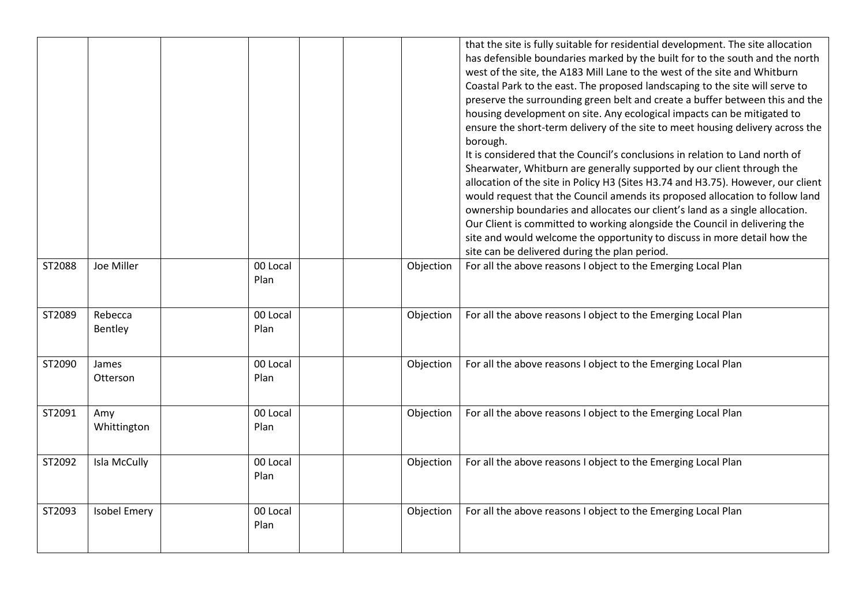|        |                     |                  |           | that the site is fully suitable for residential development. The site allocation<br>has defensible boundaries marked by the built for to the south and the north<br>west of the site, the A183 Mill Lane to the west of the site and Whitburn<br>Coastal Park to the east. The proposed landscaping to the site will serve to<br>preserve the surrounding green belt and create a buffer between this and the<br>housing development on site. Any ecological impacts can be mitigated to<br>ensure the short-term delivery of the site to meet housing delivery across the<br>borough.<br>It is considered that the Council's conclusions in relation to Land north of<br>Shearwater, Whitburn are generally supported by our client through the<br>allocation of the site in Policy H3 (Sites H3.74 and H3.75). However, our client<br>would request that the Council amends its proposed allocation to follow land<br>ownership boundaries and allocates our client's land as a single allocation.<br>Our Client is committed to working alongside the Council in delivering the<br>site and would welcome the opportunity to discuss in more detail how the<br>site can be delivered during the plan period. |
|--------|---------------------|------------------|-----------|-----------------------------------------------------------------------------------------------------------------------------------------------------------------------------------------------------------------------------------------------------------------------------------------------------------------------------------------------------------------------------------------------------------------------------------------------------------------------------------------------------------------------------------------------------------------------------------------------------------------------------------------------------------------------------------------------------------------------------------------------------------------------------------------------------------------------------------------------------------------------------------------------------------------------------------------------------------------------------------------------------------------------------------------------------------------------------------------------------------------------------------------------------------------------------------------------------------------|
| ST2088 | Joe Miller          | 00 Local<br>Plan | Objection | For all the above reasons I object to the Emerging Local Plan                                                                                                                                                                                                                                                                                                                                                                                                                                                                                                                                                                                                                                                                                                                                                                                                                                                                                                                                                                                                                                                                                                                                                   |
| ST2089 | Rebecca<br>Bentley  | 00 Local<br>Plan | Objection | For all the above reasons I object to the Emerging Local Plan                                                                                                                                                                                                                                                                                                                                                                                                                                                                                                                                                                                                                                                                                                                                                                                                                                                                                                                                                                                                                                                                                                                                                   |
| ST2090 | James<br>Otterson   | 00 Local<br>Plan | Objection | For all the above reasons I object to the Emerging Local Plan                                                                                                                                                                                                                                                                                                                                                                                                                                                                                                                                                                                                                                                                                                                                                                                                                                                                                                                                                                                                                                                                                                                                                   |
| ST2091 | Amy<br>Whittington  | 00 Local<br>Plan | Objection | For all the above reasons I object to the Emerging Local Plan                                                                                                                                                                                                                                                                                                                                                                                                                                                                                                                                                                                                                                                                                                                                                                                                                                                                                                                                                                                                                                                                                                                                                   |
| ST2092 | Isla McCully        | 00 Local<br>Plan | Objection | For all the above reasons I object to the Emerging Local Plan                                                                                                                                                                                                                                                                                                                                                                                                                                                                                                                                                                                                                                                                                                                                                                                                                                                                                                                                                                                                                                                                                                                                                   |
| ST2093 | <b>Isobel Emery</b> | 00 Local<br>Plan | Objection | For all the above reasons I object to the Emerging Local Plan                                                                                                                                                                                                                                                                                                                                                                                                                                                                                                                                                                                                                                                                                                                                                                                                                                                                                                                                                                                                                                                                                                                                                   |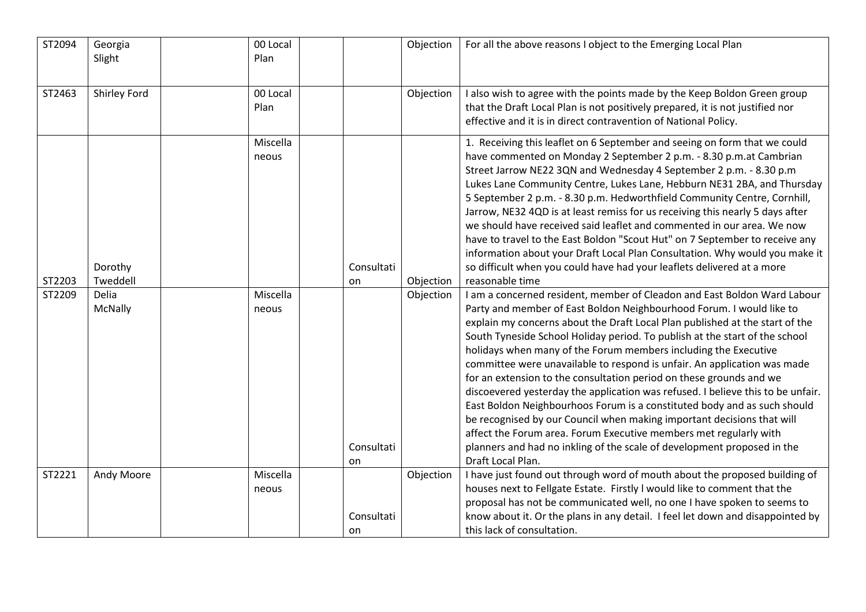| ST2094 | Georgia<br>Slight   | 00 Local<br>Plan  |                  | Objection | For all the above reasons I object to the Emerging Local Plan                                                                                                                                                                                                                                                                                                                                                                                                                                                                                                                                                                                                                                                                                                                                                                                                                                                                                       |
|--------|---------------------|-------------------|------------------|-----------|-----------------------------------------------------------------------------------------------------------------------------------------------------------------------------------------------------------------------------------------------------------------------------------------------------------------------------------------------------------------------------------------------------------------------------------------------------------------------------------------------------------------------------------------------------------------------------------------------------------------------------------------------------------------------------------------------------------------------------------------------------------------------------------------------------------------------------------------------------------------------------------------------------------------------------------------------------|
| ST2463 | <b>Shirley Ford</b> | 00 Local<br>Plan  |                  | Objection | I also wish to agree with the points made by the Keep Boldon Green group<br>that the Draft Local Plan is not positively prepared, it is not justified nor<br>effective and it is in direct contravention of National Policy.                                                                                                                                                                                                                                                                                                                                                                                                                                                                                                                                                                                                                                                                                                                        |
| ST2203 | Dorothy<br>Tweddell | Miscella<br>neous | Consultati<br>on | Objection | 1. Receiving this leaflet on 6 September and seeing on form that we could<br>have commented on Monday 2 September 2 p.m. - 8.30 p.m.at Cambrian<br>Street Jarrow NE22 3QN and Wednesday 4 September 2 p.m. - 8.30 p.m<br>Lukes Lane Community Centre, Lukes Lane, Hebburn NE31 2BA, and Thursday<br>5 September 2 p.m. - 8.30 p.m. Hedworthfield Community Centre, Cornhill,<br>Jarrow, NE32 4QD is at least remiss for us receiving this nearly 5 days after<br>we should have received said leaflet and commented in our area. We now<br>have to travel to the East Boldon "Scout Hut" on 7 September to receive any<br>information about your Draft Local Plan Consultation. Why would you make it<br>so difficult when you could have had your leaflets delivered at a more<br>reasonable time                                                                                                                                                  |
| ST2209 | Delia<br>McNally    | Miscella<br>neous | Consultati<br>on | Objection | I am a concerned resident, member of Cleadon and East Boldon Ward Labour<br>Party and member of East Boldon Neighbourhood Forum. I would like to<br>explain my concerns about the Draft Local Plan published at the start of the<br>South Tyneside School Holiday period. To publish at the start of the school<br>holidays when many of the Forum members including the Executive<br>committee were unavailable to respond is unfair. An application was made<br>for an extension to the consultation period on these grounds and we<br>discoevered yesterday the application was refused. I believe this to be unfair.<br>East Boldon Neighbourhoos Forum is a constituted body and as such should<br>be recognised by our Council when making important decisions that will<br>affect the Forum area. Forum Executive members met regularly with<br>planners and had no inkling of the scale of development proposed in the<br>Draft Local Plan. |
| ST2221 | Andy Moore          | Miscella<br>neous | Consultati<br>on | Objection | I have just found out through word of mouth about the proposed building of<br>houses next to Fellgate Estate. Firstly I would like to comment that the<br>proposal has not be communicated well, no one I have spoken to seems to<br>know about it. Or the plans in any detail. I feel let down and disappointed by<br>this lack of consultation.                                                                                                                                                                                                                                                                                                                                                                                                                                                                                                                                                                                                   |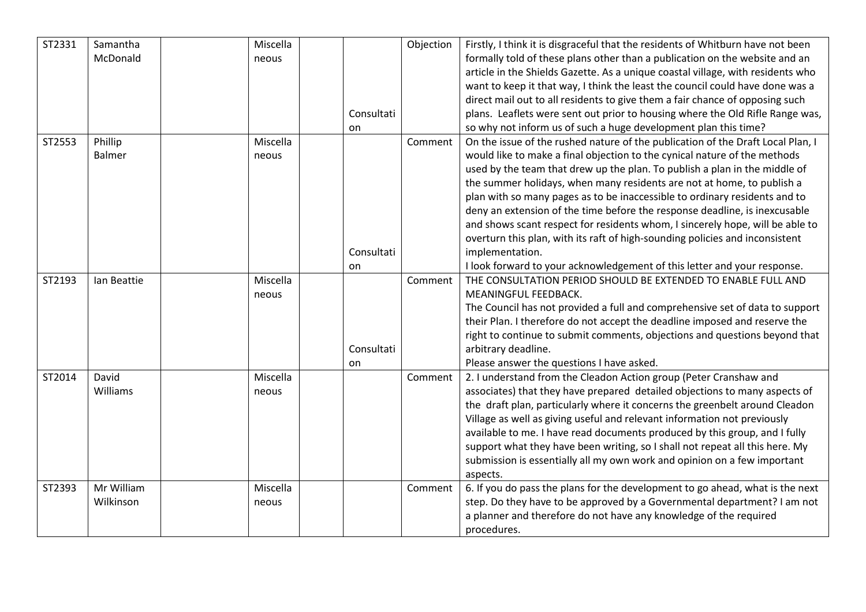| ST2331 | Samantha    | Miscella |            | Objection | Firstly, I think it is disgraceful that the residents of Whitburn have not been |
|--------|-------------|----------|------------|-----------|---------------------------------------------------------------------------------|
|        | McDonald    | neous    |            |           | formally told of these plans other than a publication on the website and an     |
|        |             |          |            |           | article in the Shields Gazette. As a unique coastal village, with residents who |
|        |             |          |            |           | want to keep it that way, I think the least the council could have done was a   |
|        |             |          |            |           | direct mail out to all residents to give them a fair chance of opposing such    |
|        |             |          | Consultati |           | plans. Leaflets were sent out prior to housing where the Old Rifle Range was,   |
|        |             |          | on         |           | so why not inform us of such a huge development plan this time?                 |
| ST2553 | Phillip     | Miscella |            | Comment   | On the issue of the rushed nature of the publication of the Draft Local Plan, I |
|        | Balmer      | neous    |            |           | would like to make a final objection to the cynical nature of the methods       |
|        |             |          |            |           | used by the team that drew up the plan. To publish a plan in the middle of      |
|        |             |          |            |           | the summer holidays, when many residents are not at home, to publish a          |
|        |             |          |            |           | plan with so many pages as to be inaccessible to ordinary residents and to      |
|        |             |          |            |           | deny an extension of the time before the response deadline, is inexcusable      |
|        |             |          |            |           | and shows scant respect for residents whom, I sincerely hope, will be able to   |
|        |             |          |            |           | overturn this plan, with its raft of high-sounding policies and inconsistent    |
|        |             |          | Consultati |           | implementation.                                                                 |
|        |             |          | on         |           | I look forward to your acknowledgement of this letter and your response.        |
| ST2193 | Ian Beattie | Miscella |            | Comment   | THE CONSULTATION PERIOD SHOULD BE EXTENDED TO ENABLE FULL AND                   |
|        |             | neous    |            |           | MEANINGFUL FEEDBACK.                                                            |
|        |             |          |            |           | The Council has not provided a full and comprehensive set of data to support    |
|        |             |          |            |           | their Plan. I therefore do not accept the deadline imposed and reserve the      |
|        |             |          |            |           | right to continue to submit comments, objections and questions beyond that      |
|        |             |          | Consultati |           | arbitrary deadline.                                                             |
|        |             |          | on         |           | Please answer the questions I have asked.                                       |
| ST2014 | David       | Miscella |            | Comment   | 2. I understand from the Cleadon Action group (Peter Cranshaw and               |
|        | Williams    | neous    |            |           | associates) that they have prepared detailed objections to many aspects of      |
|        |             |          |            |           | the draft plan, particularly where it concerns the greenbelt around Cleadon     |
|        |             |          |            |           | Village as well as giving useful and relevant information not previously        |
|        |             |          |            |           | available to me. I have read documents produced by this group, and I fully      |
|        |             |          |            |           | support what they have been writing, so I shall not repeat all this here. My    |
|        |             |          |            |           | submission is essentially all my own work and opinion on a few important        |
|        |             |          |            |           | aspects.                                                                        |
| ST2393 | Mr William  | Miscella |            | Comment   | 6. If you do pass the plans for the development to go ahead, what is the next   |
|        | Wilkinson   | neous    |            |           | step. Do they have to be approved by a Governmental department? I am not        |
|        |             |          |            |           | a planner and therefore do not have any knowledge of the required               |
|        |             |          |            |           | procedures.                                                                     |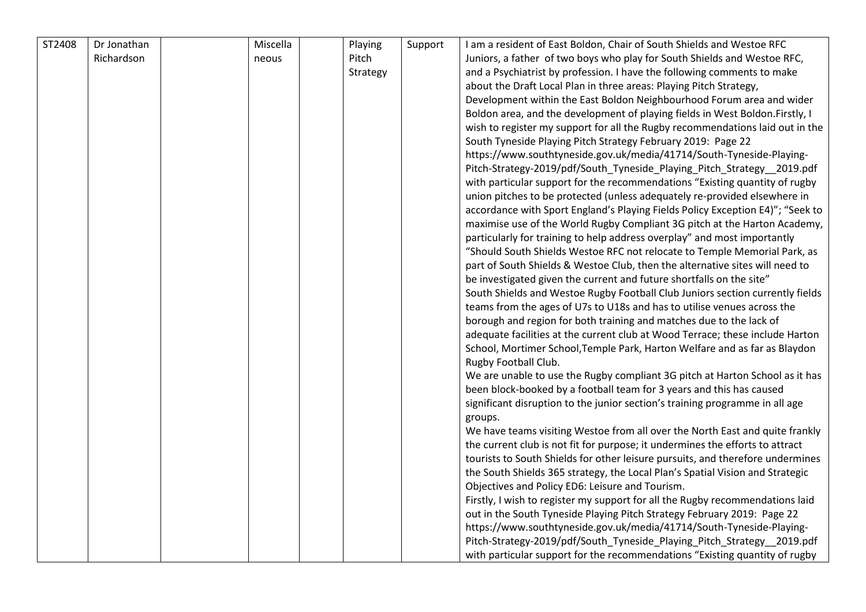| ST2408 | Dr Jonathan | Miscella | Playing  | Support | I am a resident of East Boldon, Chair of South Shields and Westoe RFC          |
|--------|-------------|----------|----------|---------|--------------------------------------------------------------------------------|
|        | Richardson  | neous    | Pitch    |         | Juniors, a father of two boys who play for South Shields and Westoe RFC,       |
|        |             |          | Strategy |         | and a Psychiatrist by profession. I have the following comments to make        |
|        |             |          |          |         | about the Draft Local Plan in three areas: Playing Pitch Strategy,             |
|        |             |          |          |         | Development within the East Boldon Neighbourhood Forum area and wider          |
|        |             |          |          |         | Boldon area, and the development of playing fields in West Boldon. Firstly, I  |
|        |             |          |          |         | wish to register my support for all the Rugby recommendations laid out in the  |
|        |             |          |          |         | South Tyneside Playing Pitch Strategy February 2019: Page 22                   |
|        |             |          |          |         | https://www.southtyneside.gov.uk/media/41714/South-Tyneside-Playing-           |
|        |             |          |          |         | Pitch-Strategy-2019/pdf/South_Tyneside_Playing_Pitch_Strategy_2019.pdf         |
|        |             |          |          |         | with particular support for the recommendations "Existing quantity of rugby    |
|        |             |          |          |         | union pitches to be protected (unless adequately re-provided elsewhere in      |
|        |             |          |          |         | accordance with Sport England's Playing Fields Policy Exception E4)"; "Seek to |
|        |             |          |          |         | maximise use of the World Rugby Compliant 3G pitch at the Harton Academy,      |
|        |             |          |          |         | particularly for training to help address overplay" and most importantly       |
|        |             |          |          |         | "Should South Shields Westoe RFC not relocate to Temple Memorial Park, as      |
|        |             |          |          |         | part of South Shields & Westoe Club, then the alternative sites will need to   |
|        |             |          |          |         | be investigated given the current and future shortfalls on the site"           |
|        |             |          |          |         | South Shields and Westoe Rugby Football Club Juniors section currently fields  |
|        |             |          |          |         | teams from the ages of U7s to U18s and has to utilise venues across the        |
|        |             |          |          |         | borough and region for both training and matches due to the lack of            |
|        |             |          |          |         | adequate facilities at the current club at Wood Terrace; these include Harton  |
|        |             |          |          |         | School, Mortimer School, Temple Park, Harton Welfare and as far as Blaydon     |
|        |             |          |          |         | Rugby Football Club.                                                           |
|        |             |          |          |         | We are unable to use the Rugby compliant 3G pitch at Harton School as it has   |
|        |             |          |          |         | been block-booked by a football team for 3 years and this has caused           |
|        |             |          |          |         | significant disruption to the junior section's training programme in all age   |
|        |             |          |          |         | groups.                                                                        |
|        |             |          |          |         | We have teams visiting Westoe from all over the North East and quite frankly   |
|        |             |          |          |         | the current club is not fit for purpose; it undermines the efforts to attract  |
|        |             |          |          |         | tourists to South Shields for other leisure pursuits, and therefore undermines |
|        |             |          |          |         | the South Shields 365 strategy, the Local Plan's Spatial Vision and Strategic  |
|        |             |          |          |         | Objectives and Policy ED6: Leisure and Tourism.                                |
|        |             |          |          |         | Firstly, I wish to register my support for all the Rugby recommendations laid  |
|        |             |          |          |         | out in the South Tyneside Playing Pitch Strategy February 2019: Page 22        |
|        |             |          |          |         | https://www.southtyneside.gov.uk/media/41714/South-Tyneside-Playing-           |
|        |             |          |          |         | Pitch-Strategy-2019/pdf/South_Tyneside_Playing_Pitch_Strategy_2019.pdf         |
|        |             |          |          |         | with particular support for the recommendations "Existing quantity of rugby    |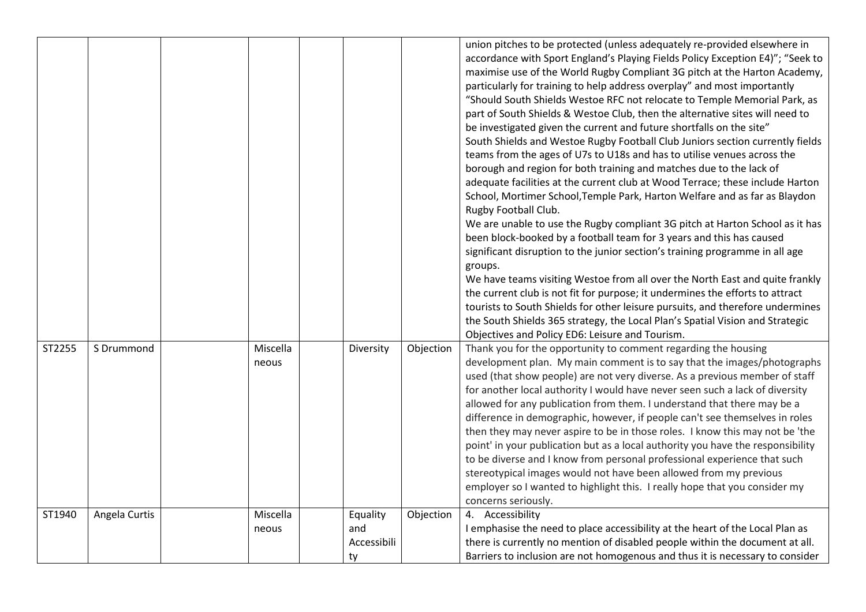|        |               |                   |                                      |           | union pitches to be protected (unless adequately re-provided elsewhere in<br>accordance with Sport England's Playing Fields Policy Exception E4)"; "Seek to<br>maximise use of the World Rugby Compliant 3G pitch at the Harton Academy,<br>particularly for training to help address overplay" and most importantly<br>"Should South Shields Westoe RFC not relocate to Temple Memorial Park, as<br>part of South Shields & Westoe Club, then the alternative sites will need to<br>be investigated given the current and future shortfalls on the site"<br>South Shields and Westoe Rugby Football Club Juniors section currently fields<br>teams from the ages of U7s to U18s and has to utilise venues across the<br>borough and region for both training and matches due to the lack of<br>adequate facilities at the current club at Wood Terrace; these include Harton<br>School, Mortimer School, Temple Park, Harton Welfare and as far as Blaydon<br>Rugby Football Club.<br>We are unable to use the Rugby compliant 3G pitch at Harton School as it has<br>been block-booked by a football team for 3 years and this has caused<br>significant disruption to the junior section's training programme in all age<br>groups.<br>We have teams visiting Westoe from all over the North East and quite frankly<br>the current club is not fit for purpose; it undermines the efforts to attract<br>tourists to South Shields for other leisure pursuits, and therefore undermines<br>the South Shields 365 strategy, the Local Plan's Spatial Vision and Strategic<br>Objectives and Policy ED6: Leisure and Tourism. |
|--------|---------------|-------------------|--------------------------------------|-----------|-------------------------------------------------------------------------------------------------------------------------------------------------------------------------------------------------------------------------------------------------------------------------------------------------------------------------------------------------------------------------------------------------------------------------------------------------------------------------------------------------------------------------------------------------------------------------------------------------------------------------------------------------------------------------------------------------------------------------------------------------------------------------------------------------------------------------------------------------------------------------------------------------------------------------------------------------------------------------------------------------------------------------------------------------------------------------------------------------------------------------------------------------------------------------------------------------------------------------------------------------------------------------------------------------------------------------------------------------------------------------------------------------------------------------------------------------------------------------------------------------------------------------------------------------------------------------------------------------------------------------------|
| ST2255 | S Drummond    | Miscella<br>neous | Diversity                            | Objection | Thank you for the opportunity to comment regarding the housing<br>development plan. My main comment is to say that the images/photographs<br>used (that show people) are not very diverse. As a previous member of staff<br>for another local authority I would have never seen such a lack of diversity<br>allowed for any publication from them. I understand that there may be a<br>difference in demographic, however, if people can't see themselves in roles<br>then they may never aspire to be in those roles. I know this may not be 'the<br>point' in your publication but as a local authority you have the responsibility<br>to be diverse and I know from personal professional experience that such<br>stereotypical images would not have been allowed from my previous<br>employer so I wanted to highlight this. I really hope that you consider my<br>concerns seriously.                                                                                                                                                                                                                                                                                                                                                                                                                                                                                                                                                                                                                                                                                                                                   |
| ST1940 | Angela Curtis | Miscella<br>neous | Equality<br>and<br>Accessibili<br>ty | Objection | 4. Accessibility<br>I emphasise the need to place accessibility at the heart of the Local Plan as<br>there is currently no mention of disabled people within the document at all.<br>Barriers to inclusion are not homogenous and thus it is necessary to consider                                                                                                                                                                                                                                                                                                                                                                                                                                                                                                                                                                                                                                                                                                                                                                                                                                                                                                                                                                                                                                                                                                                                                                                                                                                                                                                                                            |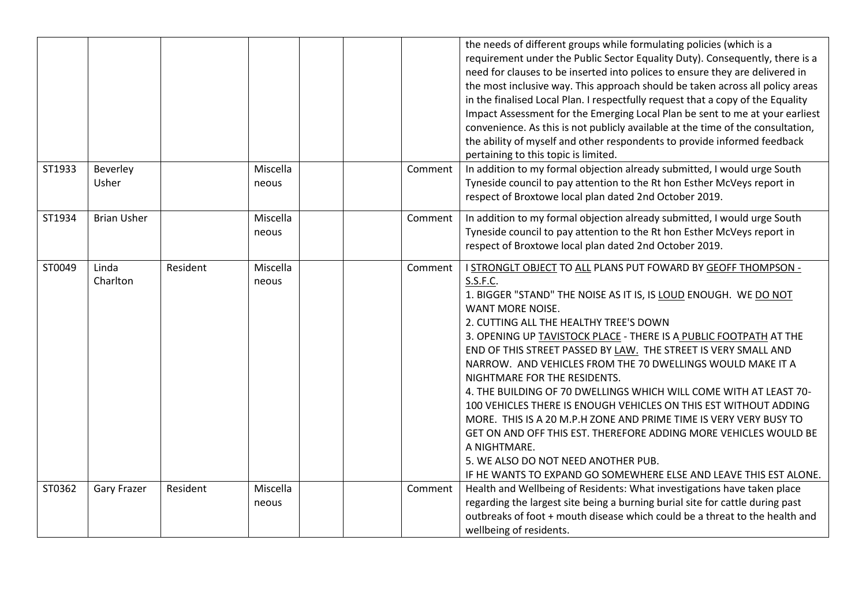|        |                    |          |                   |         | the needs of different groups while formulating policies (which is a<br>requirement under the Public Sector Equality Duty). Consequently, there is a<br>need for clauses to be inserted into polices to ensure they are delivered in<br>the most inclusive way. This approach should be taken across all policy areas<br>in the finalised Local Plan. I respectfully request that a copy of the Equality<br>Impact Assessment for the Emerging Local Plan be sent to me at your earliest<br>convenience. As this is not publicly available at the time of the consultation,<br>the ability of myself and other respondents to provide informed feedback<br>pertaining to this topic is limited.                                                                                                                                                               |
|--------|--------------------|----------|-------------------|---------|---------------------------------------------------------------------------------------------------------------------------------------------------------------------------------------------------------------------------------------------------------------------------------------------------------------------------------------------------------------------------------------------------------------------------------------------------------------------------------------------------------------------------------------------------------------------------------------------------------------------------------------------------------------------------------------------------------------------------------------------------------------------------------------------------------------------------------------------------------------|
| ST1933 | Beverley<br>Usher  |          | Miscella<br>neous | Comment | In addition to my formal objection already submitted, I would urge South<br>Tyneside council to pay attention to the Rt hon Esther McVeys report in<br>respect of Broxtowe local plan dated 2nd October 2019.                                                                                                                                                                                                                                                                                                                                                                                                                                                                                                                                                                                                                                                 |
| ST1934 | <b>Brian Usher</b> |          | Miscella<br>neous | Comment | In addition to my formal objection already submitted, I would urge South<br>Tyneside council to pay attention to the Rt hon Esther McVeys report in<br>respect of Broxtowe local plan dated 2nd October 2019.                                                                                                                                                                                                                                                                                                                                                                                                                                                                                                                                                                                                                                                 |
| ST0049 | Linda<br>Charlton  | Resident | Miscella<br>neous | Comment | I STRONGLT OBJECT TO ALL PLANS PUT FOWARD BY GEOFF THOMPSON -<br>S.S.F.C.<br>1. BIGGER "STAND" THE NOISE AS IT IS, IS LOUD ENOUGH. WE DO NOT<br>WANT MORE NOISE.<br>2. CUTTING ALL THE HEALTHY TREE'S DOWN<br>3. OPENING UP TAVISTOCK PLACE - THERE IS A PUBLIC FOOTPATH AT THE<br>END OF THIS STREET PASSED BY LAW. THE STREET IS VERY SMALL AND<br>NARROW. AND VEHICLES FROM THE 70 DWELLINGS WOULD MAKE IT A<br>NIGHTMARE FOR THE RESIDENTS.<br>4. THE BUILDING OF 70 DWELLINGS WHICH WILL COME WITH AT LEAST 70-<br>100 VEHICLES THERE IS ENOUGH VEHICLES ON THIS EST WITHOUT ADDING<br>MORE. THIS IS A 20 M.P.H ZONE AND PRIME TIME IS VERY VERY BUSY TO<br>GET ON AND OFF THIS EST. THEREFORE ADDING MORE VEHICLES WOULD BE<br>A NIGHTMARE.<br>5. WE ALSO DO NOT NEED ANOTHER PUB.<br>IF HE WANTS TO EXPAND GO SOMEWHERE ELSE AND LEAVE THIS EST ALONE. |
| ST0362 | <b>Gary Frazer</b> | Resident | Miscella<br>neous | Comment | Health and Wellbeing of Residents: What investigations have taken place<br>regarding the largest site being a burning burial site for cattle during past<br>outbreaks of foot + mouth disease which could be a threat to the health and<br>wellbeing of residents.                                                                                                                                                                                                                                                                                                                                                                                                                                                                                                                                                                                            |